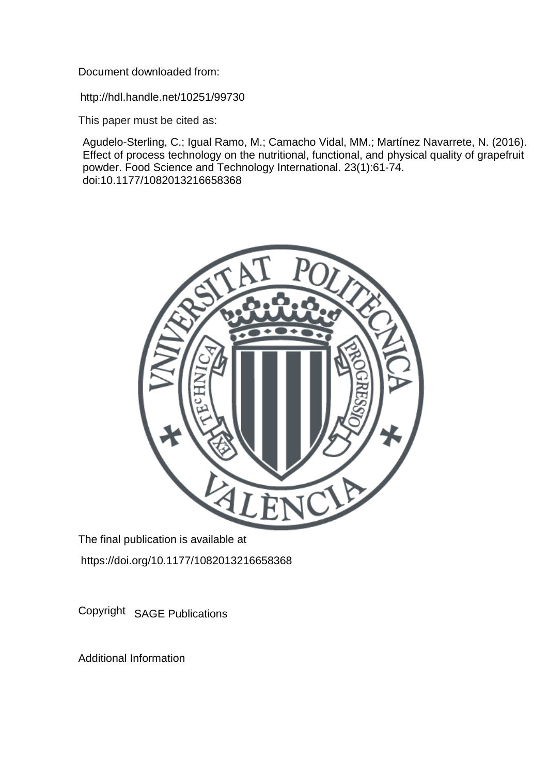Document downloaded from:

http://hdl.handle.net/10251/99730

This paper must be cited as:

Agudelo-Sterling, C.; Igual Ramo, M.; Camacho Vidal, MM.; Martínez Navarrete, N. (2016). Effect of process technology on the nutritional, functional, and physical quality of grapefruit powder. Food Science and Technology International. 23(1):61-74. doi:10.1177/1082013216658368



The final publication is available at https://doi.org/10.1177/1082013216658368

Copyright SAGE Publications

Additional Information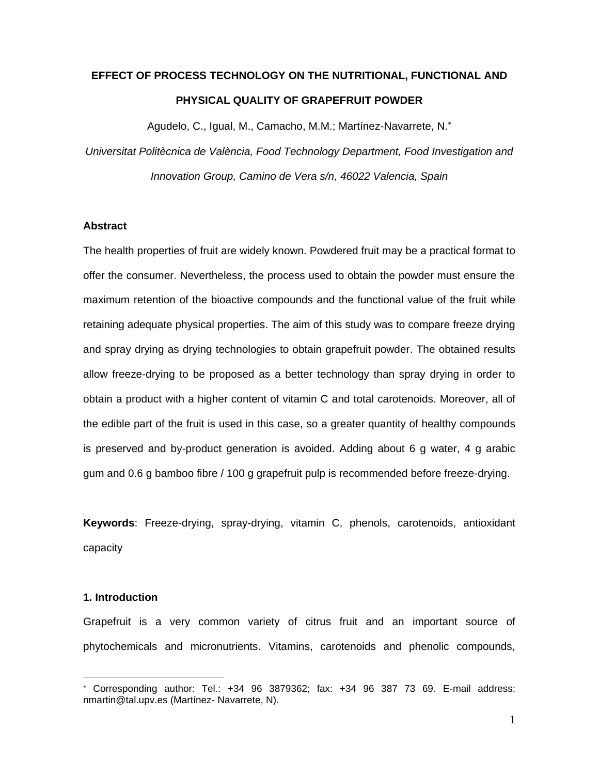# **EFFECT OF PROCESS TECHNOLOGY ON THE NUTRITIONAL, FUNCTIONAL AND PHYSICAL QUALITY OF GRAPEFRUIT POWDER**

Agudelo, C., Igual, M., Camacho, M.M.; Martínez-Navarrete, N.

*Universitat Politècnica de València, Food Technology Department, Food Investigation and Innovation Group, Camino de Vera s/n, 46022 Valencia, Spain*

# **Abstract**

The health properties of fruit are widely known. Powdered fruit may be a practical format to offer the consumer. Nevertheless, the process used to obtain the powder must ensure the maximum retention of the bioactive compounds and the functional value of the fruit while retaining adequate physical properties. The aim of this study was to compare freeze drying and spray drying as drying technologies to obtain grapefruit powder. The obtained results allow freeze-drying to be proposed as a better technology than spray drying in order to obtain a product with a higher content of vitamin C and total carotenoids. Moreover, all of the edible part of the fruit is used in this case, so a greater quantity of healthy compounds is preserved and by-product generation is avoided. Adding about 6 g water, 4 g arabic gum and 0.6 g bamboo fibre / 100 g grapefruit pulp is recommended before freeze-drying.

**Keywords**: Freeze-drying, spray-drying, vitamin C, phenols, carotenoids, antioxidant capacity

#### **1. Introduction**

 $\overline{a}$ 

Grapefruit is a very common variety of citrus fruit and an important source of phytochemicals and micronutrients. Vitamins, carotenoids and phenolic compounds,

Corresponding author: Tel.: +34 96 3879362; fax: +34 96 387 73 69. E-mail address: nmartin@tal.upv.es (Martínez- Navarrete, N).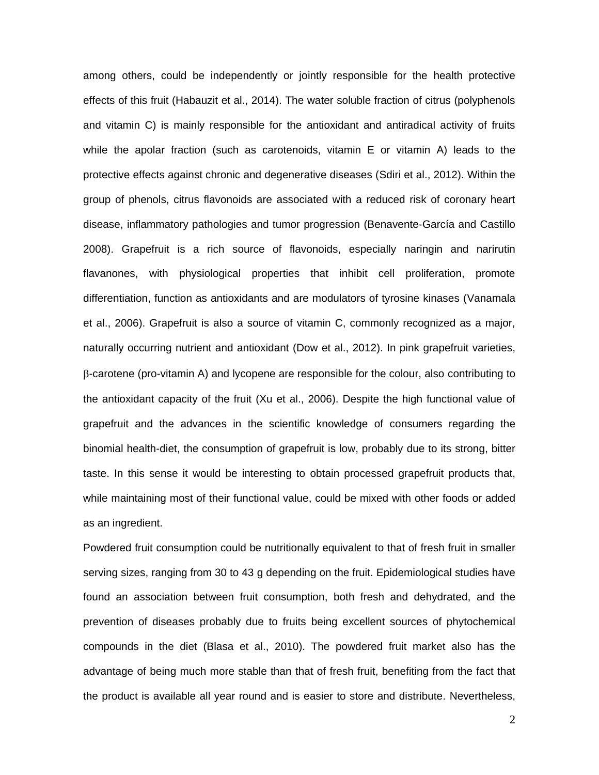among others, could be independently or jointly responsible for the health protective effects of this fruit (Habauzit et al., 2014). The water soluble fraction of citrus (polyphenols and vitamin C) is mainly responsible for the antioxidant and antiradical activity of fruits while the apolar fraction (such as carotenoids, vitamin E or vitamin A) leads to the protective effects against chronic and degenerative diseases (Sdiri et al., 2012). Within the group of phenols, citrus flavonoids are associated with a reduced risk of coronary heart disease, inflammatory pathologies and tumor progression (Benavente-García and Castillo 2008). Grapefruit is a rich source of flavonoids, especially naringin and narirutin flavanones, with physiological properties that inhibit cell proliferation, promote differentiation, function as antioxidants and are modulators of tyrosine kinases (Vanamala et al., 2006). Grapefruit is also a source of vitamin C, commonly recognized as a major, naturally occurring nutrient and antioxidant (Dow et al., 2012). In pink grapefruit varieties,  $\beta$ -carotene (pro-vitamin A) and lycopene are responsible for the colour, also contributing to the antioxidant capacity of the fruit (Xu et al., 2006). Despite the high functional value of grapefruit and the advances in the scientific knowledge of consumers regarding the binomial health-diet, the consumption of grapefruit is low, probably due to its strong, bitter taste. In this sense it would be interesting to obtain processed grapefruit products that, while maintaining most of their functional value, could be mixed with other foods or added as an ingredient.

Powdered fruit consumption could be nutritionally equivalent to that of fresh fruit in smaller serving sizes, ranging from 30 to 43 g depending on the fruit. Epidemiological studies have found an association between fruit consumption, both fresh and dehydrated, and the prevention of diseases probably due to fruits being excellent sources of phytochemical compounds in the diet (Blasa et al., 2010). The powdered fruit market also has the advantage of being much more stable than that of fresh fruit, benefiting from the fact that the product is available all year round and is easier to store and distribute. Nevertheless,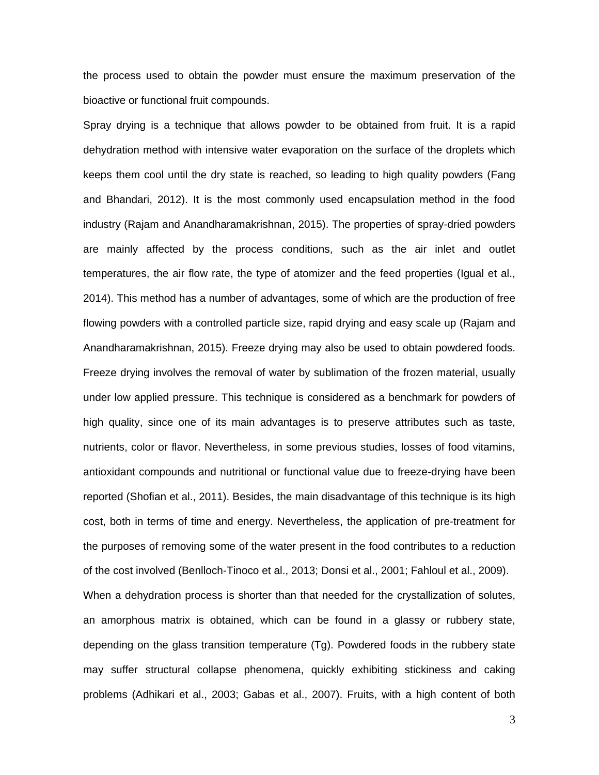the process used to obtain the powder must ensure the maximum preservation of the bioactive or functional fruit compounds.

Spray drying is a technique that allows powder to be obtained from fruit. It is a rapid dehydration method with intensive water evaporation on the surface of the droplets which keeps them cool until the dry state is reached, so leading to high quality powders (Fang and Bhandari, 2012). It is the most commonly used encapsulation method in the food industry (Rajam and Anandharamakrishnan, 2015). The properties of spray-dried powders are mainly affected by the process conditions, such as the air inlet and outlet temperatures, the air flow rate, the type of atomizer and the feed properties (Igual et al., 2014). This method has a number of advantages, some of which are the production of free flowing powders with a controlled particle size, rapid drying and easy scale up (Rajam and Anandharamakrishnan, 2015). Freeze drying may also be used to obtain powdered foods. Freeze drying involves the removal of water by sublimation of the frozen material, usually under low applied pressure. This technique is considered as a benchmark for powders of high quality, since one of its main advantages is to preserve attributes such as taste, nutrients, color or flavor. Nevertheless, in some previous studies, losses of food vitamins, antioxidant compounds and nutritional or functional value due to freeze-drying have been reported (Shofian et al., 2011). Besides, the main disadvantage of this technique is its high cost, both in terms of time and energy. Nevertheless, the application of pre-treatment for the purposes of removing some of the water present in the food contributes to a reduction of the cost involved (Benlloch-Tinoco et al., 2013; Donsi et al., 2001; Fahloul et al., 2009). When a dehydration process is shorter than that needed for the crystallization of solutes, an amorphous matrix is obtained, which can be found in a glassy or rubbery state, depending on the glass transition temperature (Tg). Powdered foods in the rubbery state may suffer structural collapse phenomena, quickly exhibiting stickiness and caking problems (Adhikari et al., 2003; Gabas et al., 2007). Fruits, with a high content of both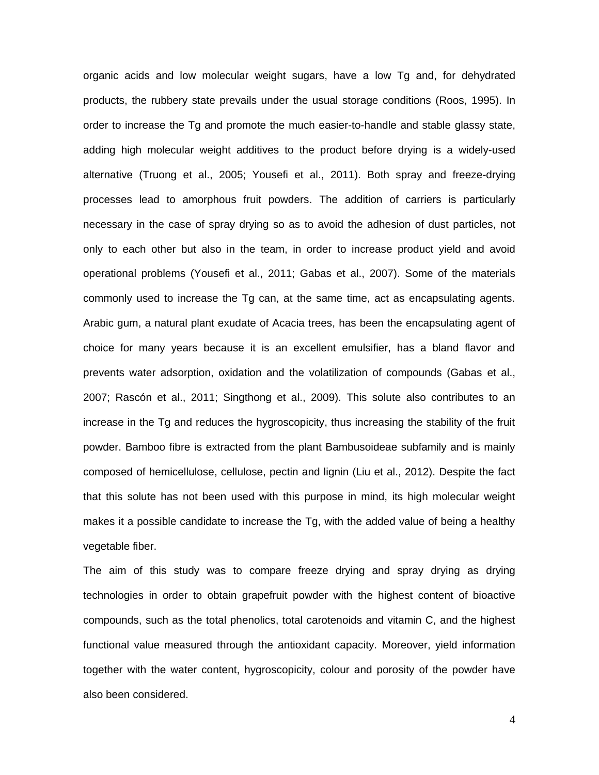organic acids and low molecular weight sugars, have a low Tg and, for dehydrated products, the rubbery state prevails under the usual storage conditions (Roos, 1995). In order to increase the Tg and promote the much easier-to-handle and stable glassy state, adding high molecular weight additives to the product before drying is a widely-used alternative (Truong et al., 2005; Yousefi et al., 2011). Both spray and freeze-drying processes lead to amorphous fruit powders. The addition of carriers is particularly necessary in the case of spray drying so as to avoid the adhesion of dust particles, not only to each other but also in the team, in order to increase product yield and avoid operational problems (Yousefi et al., 2011; Gabas et al., 2007). Some of the materials commonly used to increase the Tg can, at the same time, act as encapsulating agents. Arabic gum, a natural plant exudate of Acacia trees, has been the encapsulating agent of choice for many years because it is an excellent emulsifier, has a bland flavor and prevents water adsorption, oxidation and the volatilization of compounds (Gabas et al., 2007; Rascón et al., 2011; Singthong et al., 2009). This solute also contributes to an increase in the Tg and reduces the hygroscopicity, thus increasing the stability of the fruit powder. Bamboo fibre is extracted from the plant Bambusoideae subfamily and is mainly composed of hemicellulose, cellulose, pectin and lignin (Liu et al., 2012). Despite the fact that this solute has not been used with this purpose in mind, its high molecular weight makes it a possible candidate to increase the Tg, with the added value of being a healthy vegetable fiber.

The aim of this study was to compare freeze drying and spray drying as drying technologies in order to obtain grapefruit powder with the highest content of bioactive compounds, such as the total phenolics, total carotenoids and vitamin C, and the highest functional value measured through the antioxidant capacity. Moreover, yield information together with the water content, hygroscopicity, colour and porosity of the powder have also been considered.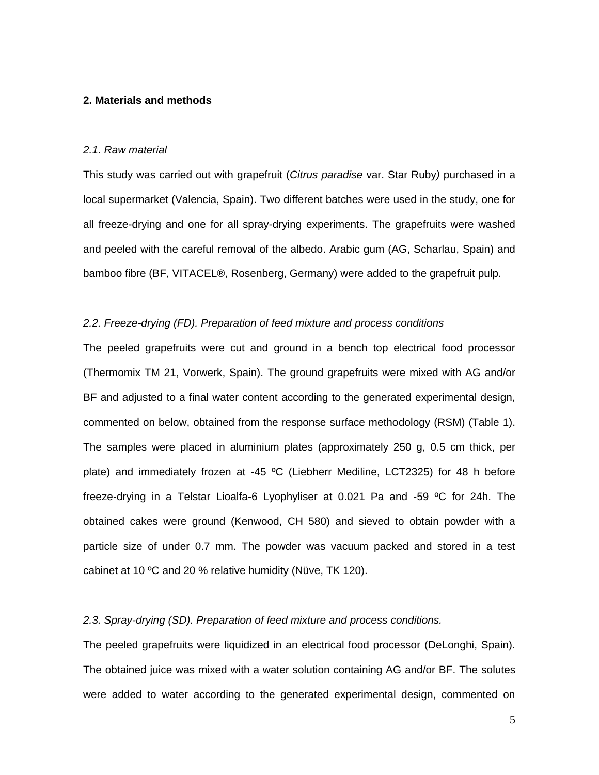#### **2. Materials and methods**

#### *2.1. Raw material*

This study was carried out with grapefruit (*Citrus paradise* var. Star Ruby*)* purchased in a local supermarket (Valencia, Spain). Two different batches were used in the study, one for all freeze-drying and one for all spray-drying experiments. The grapefruits were washed and peeled with the careful removal of the albedo. Arabic gum (AG, Scharlau, Spain) and bamboo fibre (BF, VITACEL®, Rosenberg, Germany) were added to the grapefruit pulp.

#### *2.2. Freeze-drying (FD). Preparation of feed mixture and process conditions*

The peeled grapefruits were cut and ground in a bench top electrical food processor (Thermomix TM 21, Vorwerk, Spain). The ground grapefruits were mixed with AG and/or BF and adjusted to a final water content according to the generated experimental design, commented on below, obtained from the response surface methodology (RSM) (Table 1). The samples were placed in aluminium plates (approximately 250 g, 0.5 cm thick, per plate) and immediately frozen at -45 ºC (Liebherr Mediline, LCT2325) for 48 h before freeze-drying in a Telstar Lioalfa-6 Lyophyliser at 0.021 Pa and -59 ºC for 24h. The obtained cakes were ground (Kenwood, CH 580) and sieved to obtain powder with a particle size of under 0.7 mm. The powder was vacuum packed and stored in a test cabinet at 10 ºC and 20 % relative humidity (Nüve, TK 120).

# *2.3. Spray-drying (SD). Preparation of feed mixture and process conditions.*

The peeled grapefruits were liquidized in an electrical food processor (DeLonghi, Spain). The obtained juice was mixed with a water solution containing AG and/or BF. The solutes were added to water according to the generated experimental design, commented on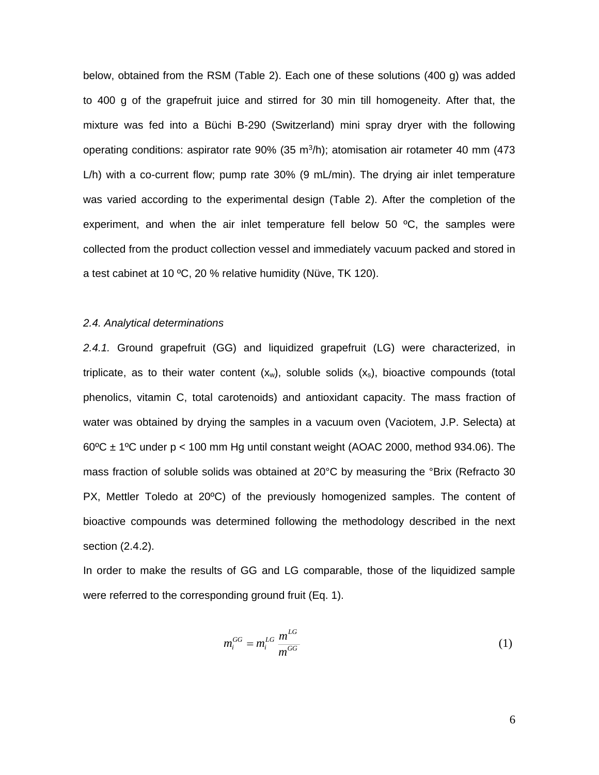below, obtained from the RSM (Table 2). Each one of these solutions (400 g) was added to 400 g of the grapefruit juice and stirred for 30 min till homogeneity. After that, the mixture was fed into a Büchi B-290 (Switzerland) mini spray dryer with the following operating conditions: aspirator rate  $90\%$  (35 m<sup>3</sup>/h); atomisation air rotameter 40 mm (473 L/h) with a co-current flow; pump rate 30% (9 mL/min). The drying air inlet temperature was varied according to the experimental design (Table 2). After the completion of the experiment, and when the air inlet temperature fell below 50  $\mathrm{^{\circ}C}$ , the samples were collected from the product collection vessel and immediately vacuum packed and stored in a test cabinet at 10 ºC, 20 % relative humidity (Nüve, TK 120).

#### *2.4. Analytical determinations*

*2.4.1.* Ground grapefruit (GG) and liquidized grapefruit (LG) were characterized, in triplicate, as to their water content  $(x_w)$ , soluble solids  $(x_s)$ , bioactive compounds (total phenolics, vitamin C, total carotenoids) and antioxidant capacity. The mass fraction of water was obtained by drying the samples in a vacuum oven (Vaciotem, J.P. Selecta) at  $60^{\circ}$ C ± 1°C under p < 100 mm Hg until constant weight (AOAC 2000, method 934.06). The mass fraction of soluble solids was obtained at 20°C by measuring the °Brix (Refracto 30 PX, Mettler Toledo at 20ºC) of the previously homogenized samples. The content of bioactive compounds was determined following the methodology described in the next section (2.4.2).

In order to make the results of GG and LG comparable, those of the liquidized sample were referred to the corresponding ground fruit (Eq. 1).

$$
m_i^{GG} = m_i^{LG} \frac{m^{LG}}{m^{GG}}
$$
 (1)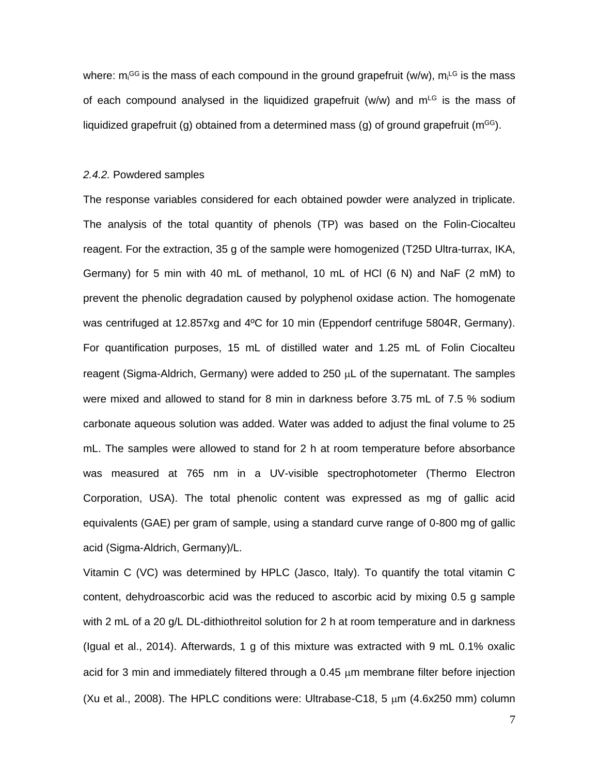where: m<sub>i</sub><sup>GG</sup> is the mass of each compound in the ground grapefruit (w/w), m<sub>i</sub><sup>LG</sup> is the mass of each compound analysed in the liquidized grapefruit (w/w) and  $m<sup>LG</sup>$  is the mass of liquidized grapefruit (g) obtained from a determined mass (g) of ground grapefruit ( $m<sup>GG</sup>$ ).

#### *2.4.2.* Powdered samples

The response variables considered for each obtained powder were analyzed in triplicate. The analysis of the total quantity of phenols (TP) was based on the Folin-Ciocalteu reagent. For the extraction, 35 g of the sample were homogenized (T25D Ultra-turrax, IKA, Germany) for 5 min with 40 mL of methanol, 10 mL of HCl (6 N) and NaF (2 mM) to prevent the phenolic degradation caused by polyphenol oxidase action. The homogenate was centrifuged at 12.857xg and 4ºC for 10 min (Eppendorf centrifuge 5804R, Germany). For quantification purposes, 15 mL of distilled water and 1.25 mL of Folin Ciocalteu reagent (Sigma-Aldrich, Germany) were added to  $250 \mu L$  of the supernatant. The samples were mixed and allowed to stand for 8 min in darkness before 3.75 mL of 7.5 % sodium carbonate aqueous solution was added. Water was added to adjust the final volume to 25 mL. The samples were allowed to stand for 2 h at room temperature before absorbance was measured at 765 nm in a UV-visible spectrophotometer (Thermo Electron Corporation, USA). The total phenolic content was expressed as mg of gallic acid equivalents (GAE) per gram of sample, using a standard curve range of 0-800 mg of gallic acid (Sigma-Aldrich, Germany)/L.

Vitamin C (VC) was determined by HPLC (Jasco, Italy). To quantify the total vitamin C content, dehydroascorbic acid was the reduced to ascorbic acid by mixing 0.5 g sample with 2 mL of a 20 g/L DL-dithiothreitol solution for 2 h at room temperature and in darkness (Igual et al., 2014). Afterwards, 1 g of this mixture was extracted with 9 mL 0.1% oxalic acid for 3 min and immediately filtered through a  $0.45 \mu m$  membrane filter before injection (Xu et al., 2008). The HPLC conditions were: Ultrabase-C18, 5  $\mu$ m (4.6x250 mm) column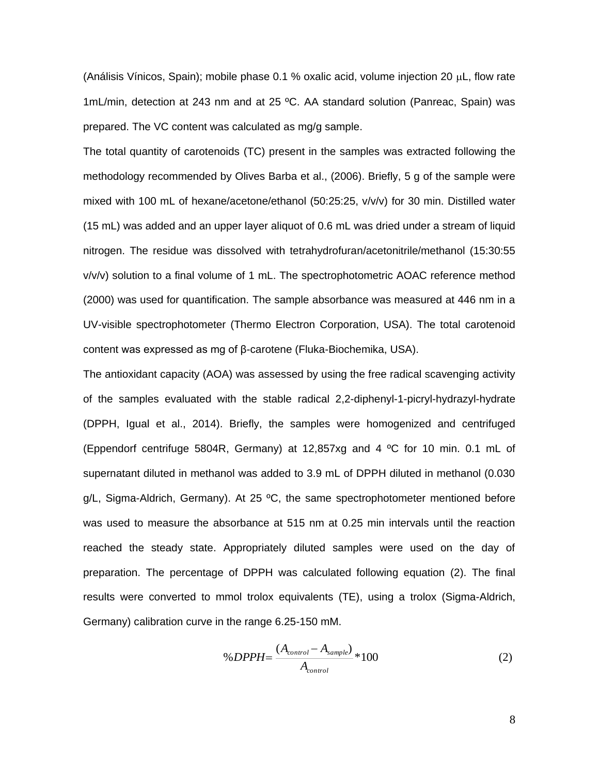(Análisis Vínicos, Spain); mobile phase 0.1 % oxalic acid, volume injection 20  $\mu$ L, flow rate 1mL/min, detection at 243 nm and at 25 ºC. AA standard solution (Panreac, Spain) was prepared. The VC content was calculated as mg/g sample.

The total quantity of carotenoids (TC) present in the samples was extracted following the methodology recommended by Olives Barba et al., (2006). Briefly, 5 g of the sample were mixed with 100 mL of hexane/acetone/ethanol (50:25:25, v/v/v) for 30 min. Distilled water (15 mL) was added and an upper layer aliquot of 0.6 mL was dried under a stream of liquid nitrogen. The residue was dissolved with tetrahydrofuran/acetonitrile/methanol (15:30:55 v/v/v) solution to a final volume of 1 mL. The spectrophotometric AOAC reference method (2000) was used for quantification. The sample absorbance was measured at 446 nm in a UV-visible spectrophotometer (Thermo Electron Corporation, USA). The total carotenoid content was expressed as mg of β-carotene (Fluka-Biochemika, USA).

The antioxidant capacity (AOA) was assessed by using the free radical scavenging activity of the samples evaluated with the stable radical 2,2-diphenyl-1-picryl-hydrazyl-hydrate (DPPH, Igual et al., 2014). Briefly, the samples were homogenized and centrifuged (Eppendorf centrifuge 5804R, Germany) at 12,857xg and 4 ºC for 10 min. 0.1 mL of supernatant diluted in methanol was added to 3.9 mL of DPPH diluted in methanol (0.030  $q/L$ , Sigma-Aldrich, Germany). At 25 °C, the same spectrophotometer mentioned before was used to measure the absorbance at 515 nm at 0.25 min intervals until the reaction reached the steady state. Appropriately diluted samples were used on the day of preparation. The percentage of DPPH was calculated following equation (2). The final results were converted to mmol trolox equivalents (TE), using a trolox (Sigma-Aldrich, Germany) calibration curve in the range 6.25-150 mM.

$$
\% DPPH = \frac{(A_{control} - A_{sample})}{A_{control}} * 100
$$
 (2)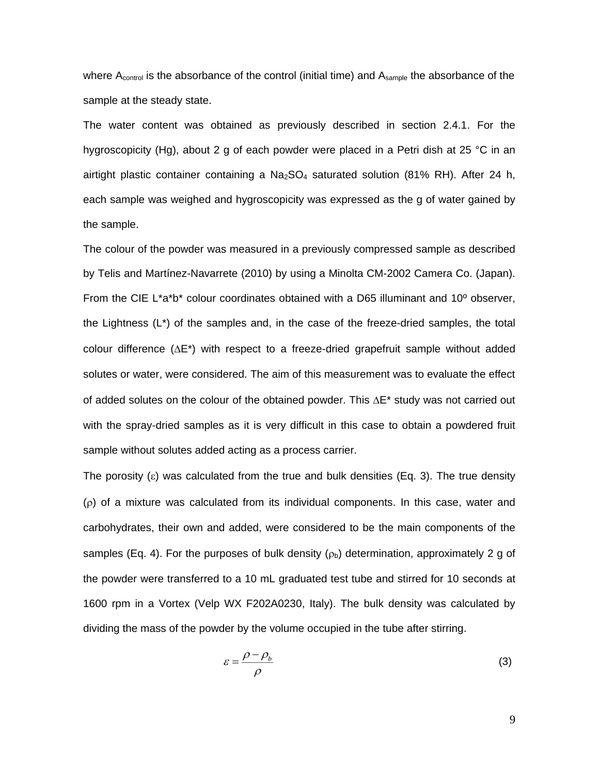where  $A_{control}$  is the absorbance of the control (initial time) and  $A_{sample}$  the absorbance of the sample at the steady state.

The water content was obtained as previously described in section 2.4.1. For the hygroscopicity (Hg), about 2 g of each powder were placed in a Petri dish at 25 °C in an airtight plastic container containing a  $Na<sub>2</sub>SO<sub>4</sub>$  saturated solution (81% RH). After 24 h, each sample was weighed and hygroscopicity was expressed as the g of water gained by the sample.

The colour of the powder was measured in a previously compressed sample as described by Telis and Martínez-Navarrete (2010) by using a Minolta CM-2002 Camera Co. (Japan). From the CIE L\*a\*b\* colour coordinates obtained with a D65 illuminant and 10º observer, the Lightness (L\*) of the samples and, in the case of the freeze-dried samples, the total colour difference  $(\Delta E^*)$  with respect to a freeze-dried grapefruit sample without added solutes or water, were considered. The aim of this measurement was to evaluate the effect of added solutes on the colour of the obtained powder. This  $\Delta E^*$  study was not carried out with the spray-dried samples as it is very difficult in this case to obtain a powdered fruit sample without solutes added acting as a process carrier.

The porosity ( $\epsilon$ ) was calculated from the true and bulk densities (Eq. 3). The true density () of a mixture was calculated from its individual components. In this case, water and carbohydrates, their own and added, were considered to be the main components of the samples (Eq. 4). For the purposes of bulk density ( $\rho_b$ ) determination, approximately 2 g of the powder were transferred to a 10 mL graduated test tube and stirred for 10 seconds at 1600 rpm in a Vortex (Velp WX F202A0230, Italy). The bulk density was calculated by dividing the mass of the powder by the volume occupied in the tube after stirring.

$$
\varepsilon = \frac{\rho - \rho_b}{\rho} \tag{3}
$$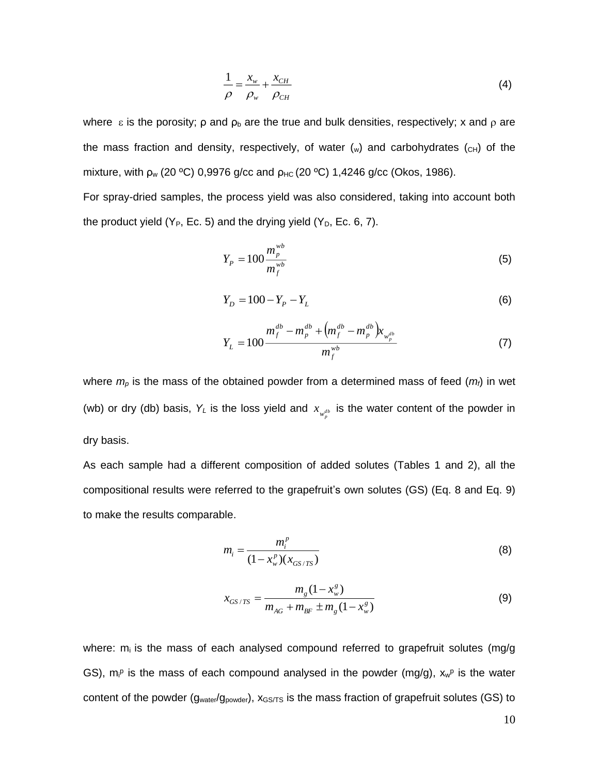$$
\frac{1}{\rho} = \frac{x_w}{\rho_w} + \frac{x_{CH}}{\rho_{CH}}
$$
(4)

where  $\epsilon$  is the porosity;  $\rho$  and  $\rho_b$  are the true and bulk densities, respectively; x and  $\rho$  are the mass fraction and density, respectively, of water  $(w)$  and carbohydrates  $(c)$  of the mixture, with  $\rho_w$  (20 °C) 0,9976 g/cc and  $\rho_{HC}$  (20 °C) 1,4246 g/cc (Okos, 1986).

For spray-dried samples, the process yield was also considered, taking into account both the product yield ( $Y_P$ , Ec. 5) and the drying yield ( $Y_D$ , Ec. 6, 7).

$$
Y_{P} = 100 \frac{m_{P}^{wb}}{m_{f}^{wb}}
$$
 (5)

$$
Y_D = 100 - Y_P - Y_L \tag{6}
$$

$$
Y_{L} = 100 \frac{m_f^{db} - m_p^{db} + \left(m_f^{db} - m_p^{db}\right) x_{w_p^{db}}}{m_f^{wb}}
$$
(7)

where *m<sup>p</sup>* is the mass of the obtained powder from a determined mass of feed (*mf*) in wet (wb) or dry (db) basis,  $Y_L$  is the loss yield and  $x_{w_p^{db}}$  is the water content of the powder in dry basis.

As each sample had a different composition of added solutes (Tables 1 and 2), all the compositional results were referred to the grapefruit's own solutes (GS) (Eq. 8 and Eq. 9) to make the results comparable.

$$
m_i = \frac{m_i^p}{(1 - x_w^p)(x_{GS/TS})}
$$
(8)

$$
x_{GS/TS} = \frac{m_g (1 - x_w^g)}{m_{AG} + m_{BF} \pm m_g (1 - x_w^g)}
$$
(9)

where:  $m_i$  is the mass of each analysed compound referred to grapefruit solutes (mg/g) GS),  $m_i^p$  is the mass of each compound analysed in the powder (mg/g),  $x_w^p$  is the water content of the powder ( $g_{water}/g_{power}$ ),  $x_{GS/TS}$  is the mass fraction of grapefruit solutes (GS) to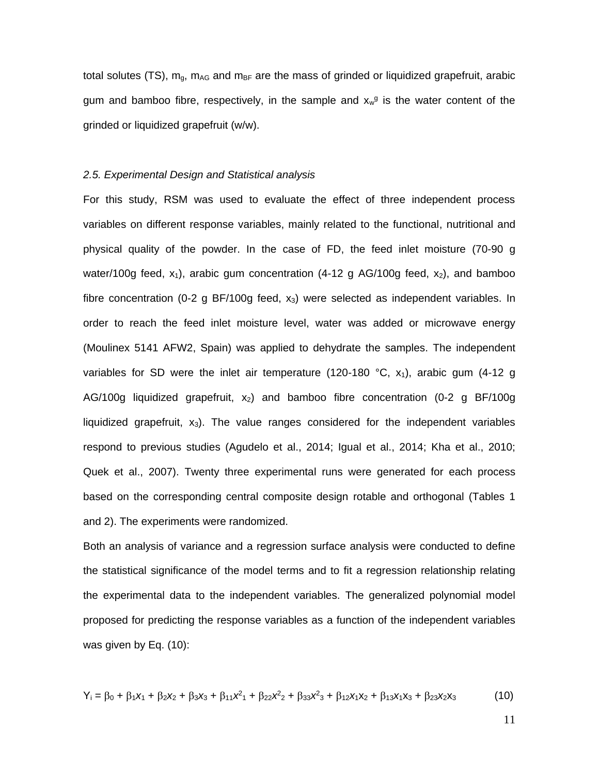total solutes (TS),  $m_q$ ,  $m_{AG}$  and  $m_{BF}$  are the mass of grinded or liquidized grapefruit, arabic gum and bamboo fibre, respectively, in the sample and  $x_w$ <sup>g</sup> is the water content of the grinded or liquidized grapefruit (w/w).

## *2.5. Experimental Design and Statistical analysis*

For this study, RSM was used to evaluate the effect of three independent process variables on different response variables, mainly related to the functional, nutritional and physical quality of the powder. In the case of FD, the feed inlet moisture (70-90 g water/100g feed,  $x_1$ ), arabic gum concentration (4-12 g AG/100g feed,  $x_2$ ), and bamboo fibre concentration (0-2 g BF/100g feed,  $x_3$ ) were selected as independent variables. In order to reach the feed inlet moisture level, water was added or microwave energy (Moulinex 5141 AFW2, Spain) was applied to dehydrate the samples. The independent variables for SD were the inlet air temperature (120-180 °C,  $x_1$ ), arabic gum (4-12 g AG/100g liquidized grapefruit,  $x_2$ ) and bamboo fibre concentration (0-2 g BF/100g liquidized grapefruit,  $x_3$ ). The value ranges considered for the independent variables respond to previous studies (Agudelo et al., 2014; Igual et al., 2014; Kha et al., 2010; Quek et al., 2007). Twenty three experimental runs were generated for each process based on the corresponding central composite design rotable and orthogonal (Tables 1 and 2). The experiments were randomized.

Both an analysis of variance and a regression surface analysis were conducted to define the statistical significance of the model terms and to fit a regression relationship relating the experimental data to the independent variables. The generalized polynomial model proposed for predicting the response variables as a function of the independent variables was given by Eq. (10):

$$
Y_1 = \beta_0 + \beta_1 x_1 + \beta_2 x_2 + \beta_3 x_3 + \beta_1 x_1^2 + \beta_2 x_2^2 + \beta_3 x_3^2 + \beta_1 x_1 x_2 + \beta_1 x_1 x_3 + \beta_2 x_2 x_3
$$
 (10)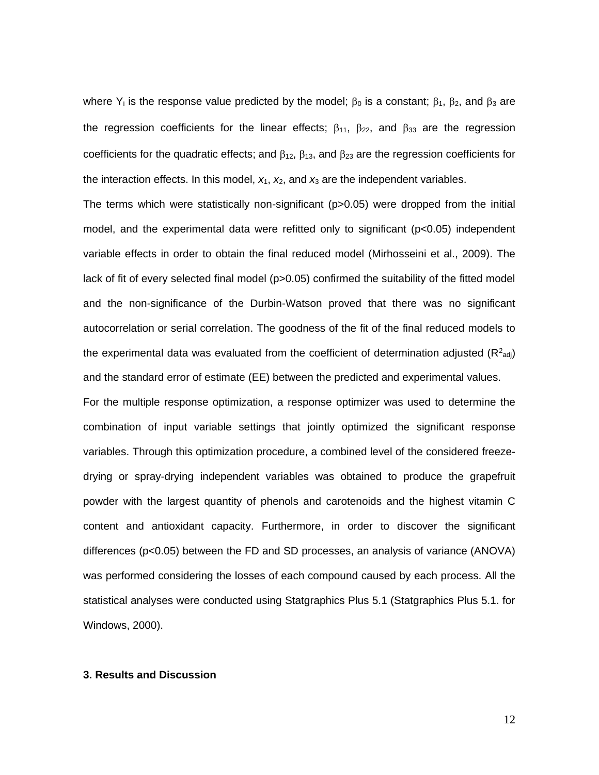where Y<sub>i</sub> is the response value predicted by the model;  $\beta_0$  is a constant;  $\beta_1$ ,  $\beta_2$ , and  $\beta_3$  are the regression coefficients for the linear effects;  $\beta_{11}$ ,  $\beta_{22}$ , and  $\beta_{33}$  are the regression coefficients for the quadratic effects; and  $\beta_{12}$ ,  $\beta_{13}$ , and  $\beta_{23}$  are the regression coefficients for the interaction effects. In this model,  $x_1$ ,  $x_2$ , and  $x_3$  are the independent variables.

The terms which were statistically non-significant (p>0.05) were dropped from the initial model, and the experimental data were refitted only to significant (p<0.05) independent variable effects in order to obtain the final reduced model (Mirhosseini et al., 2009). The lack of fit of every selected final model (p>0.05) confirmed the suitability of the fitted model and the non-significance of the Durbin-Watson proved that there was no significant autocorrelation or serial correlation. The goodness of the fit of the final reduced models to the experimental data was evaluated from the coefficient of determination adjusted ( $R^2$ <sub>adj</sub>) and the standard error of estimate (EE) between the predicted and experimental values. For the multiple response optimization, a response optimizer was used to determine the combination of input variable settings that jointly optimized the significant response variables. Through this optimization procedure, a combined level of the considered freezedrying or spray-drying independent variables was obtained to produce the grapefruit powder with the largest quantity of phenols and carotenoids and the highest vitamin C content and antioxidant capacity. Furthermore, in order to discover the significant differences (p<0.05) between the FD and SD processes, an analysis of variance (ANOVA) was performed considering the losses of each compound caused by each process. All the statistical analyses were conducted using Statgraphics Plus 5.1 (Statgraphics Plus 5.1. for Windows, 2000).

### **3. Results and Discussion**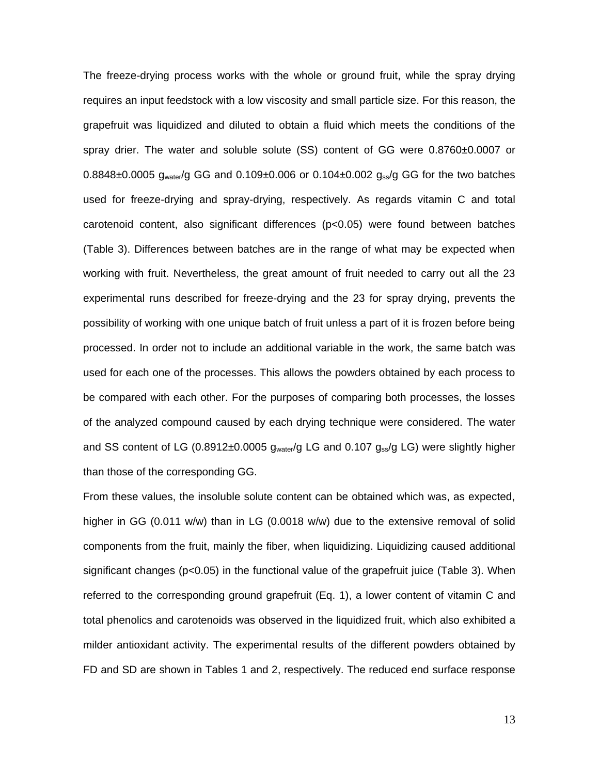The freeze-drying process works with the whole or ground fruit, while the spray drying requires an input feedstock with a low viscosity and small particle size. For this reason, the grapefruit was liquidized and diluted to obtain a fluid which meets the conditions of the spray drier. The water and soluble solute (SS) content of GG were 0.8760±0.0007 or  $0.8848\pm0.0005$  g<sub>water</sub>/g GG and  $0.109\pm0.006$  or  $0.104\pm0.002$  g<sub>ss</sub>/g GG for the two batches used for freeze-drying and spray-drying, respectively. As regards vitamin C and total carotenoid content, also significant differences (p<0.05) were found between batches (Table 3). Differences between batches are in the range of what may be expected when working with fruit. Nevertheless, the great amount of fruit needed to carry out all the 23 experimental runs described for freeze-drying and the 23 for spray drying, prevents the possibility of working with one unique batch of fruit unless a part of it is frozen before being processed. In order not to include an additional variable in the work, the same batch was used for each one of the processes. This allows the powders obtained by each process to be compared with each other. For the purposes of comparing both processes, the losses of the analyzed compound caused by each drying technique were considered. The water and SS content of LG (0.8912 $\pm$ 0.0005  $g_{water}/g$  LG and 0.107  $g_{ss}/g$  LG) were slightly higher than those of the corresponding GG.

From these values, the insoluble solute content can be obtained which was, as expected, higher in GG (0.011 w/w) than in LG (0.0018 w/w) due to the extensive removal of solid components from the fruit, mainly the fiber, when liquidizing. Liquidizing caused additional significant changes ( $p < 0.05$ ) in the functional value of the grapefruit juice (Table 3). When referred to the corresponding ground grapefruit (Eq. 1), a lower content of vitamin C and total phenolics and carotenoids was observed in the liquidized fruit, which also exhibited a milder antioxidant activity. The experimental results of the different powders obtained by FD and SD are shown in Tables 1 and 2, respectively. The reduced end surface response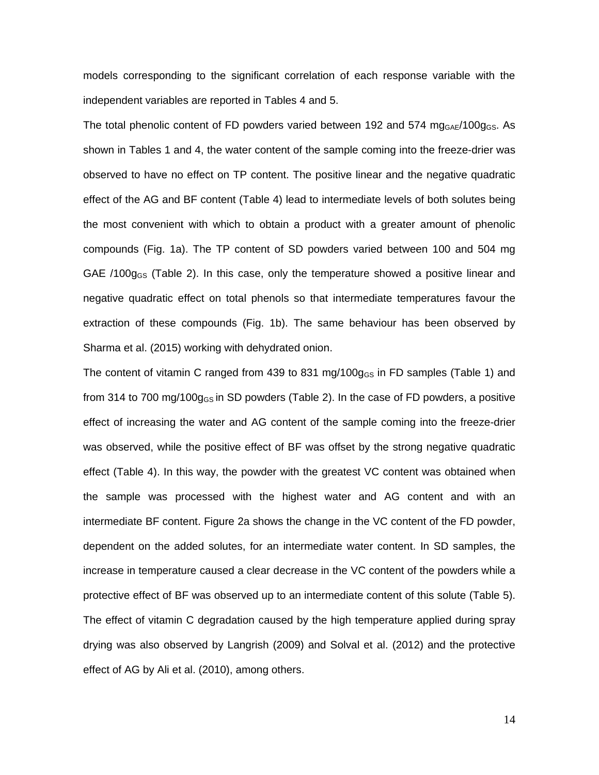models corresponding to the significant correlation of each response variable with the independent variables are reported in Tables 4 and 5.

The total phenolic content of FD powders varied between 192 and 574  $mg<sub>GAE</sub>/100g<sub>GS</sub>$ . As shown in Tables 1 and 4, the water content of the sample coming into the freeze-drier was observed to have no effect on TP content. The positive linear and the negative quadratic effect of the AG and BF content (Table 4) lead to intermediate levels of both solutes being the most convenient with which to obtain a product with a greater amount of phenolic compounds (Fig. 1a). The TP content of SD powders varied between 100 and 504 mg GAE /100 $q_{GS}$  (Table 2). In this case, only the temperature showed a positive linear and negative quadratic effect on total phenols so that intermediate temperatures favour the extraction of these compounds (Fig. 1b). The same behaviour has been observed by Sharma et al. (2015) working with dehydrated onion.

The content of vitamin C ranged from 439 to 831 mg/100 $q_{GS}$  in FD samples (Table 1) and from 314 to 700 mg/100g<sub>GS</sub> in SD powders (Table 2). In the case of FD powders, a positive effect of increasing the water and AG content of the sample coming into the freeze-drier was observed, while the positive effect of BF was offset by the strong negative quadratic effect (Table 4). In this way, the powder with the greatest VC content was obtained when the sample was processed with the highest water and AG content and with an intermediate BF content. Figure 2a shows the change in the VC content of the FD powder, dependent on the added solutes, for an intermediate water content. In SD samples, the increase in temperature caused a clear decrease in the VC content of the powders while a protective effect of BF was observed up to an intermediate content of this solute (Table 5). The effect of vitamin C degradation caused by the high temperature applied during spray drying was also observed by Langrish (2009) and Solval et al. (2012) and the protective effect of AG by Ali et al. (2010), among others.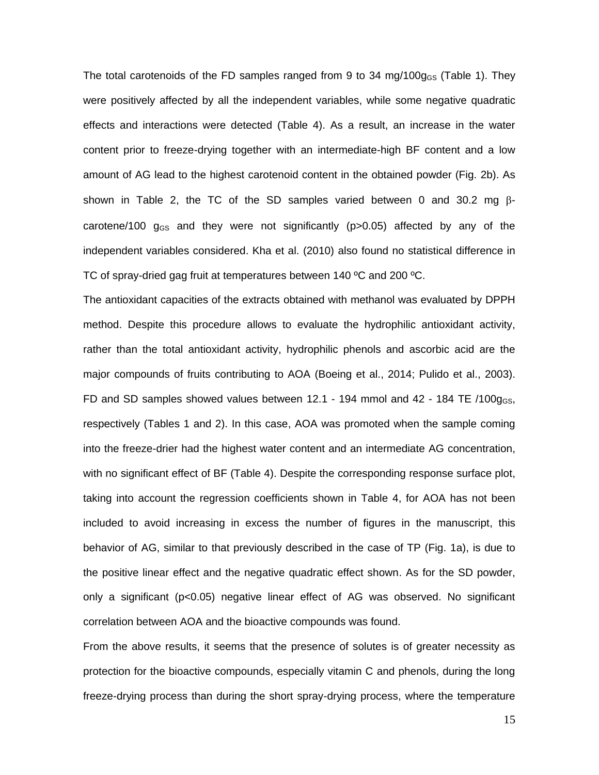The total carotenoids of the FD samples ranged from 9 to 34 mg/100 $g_{GS}$  (Table 1). They were positively affected by all the independent variables, while some negative quadratic effects and interactions were detected (Table 4). As a result, an increase in the water content prior to freeze-drying together with an intermediate-high BF content and a low amount of AG lead to the highest carotenoid content in the obtained powder (Fig. 2b). As shown in Table 2, the TC of the SD samples varied between 0 and 30.2 mg  $\beta$ carotene/100  $g_{GS}$  and they were not significantly ( $p > 0.05$ ) affected by any of the independent variables considered. Kha et al. (2010) also found no statistical difference in TC of spray-dried gag fruit at temperatures between 140 ºC and 200 ºC.

The antioxidant capacities of the extracts obtained with methanol was evaluated by DPPH method. Despite this procedure allows to evaluate the hydrophilic antioxidant activity, rather than the total antioxidant activity, hydrophilic phenols and ascorbic acid are the major compounds of fruits contributing to AOA (Boeing et al., 2014; Pulido et al., 2003). FD and SD samples showed values between 12.1 - 194 mmol and  $42$  - 184 TE  $/100q_{\text{GS}}$ , respectively (Tables 1 and 2). In this case, AOA was promoted when the sample coming into the freeze-drier had the highest water content and an intermediate AG concentration, with no significant effect of BF (Table 4). Despite the corresponding response surface plot, taking into account the regression coefficients shown in Table 4, for AOA has not been included to avoid increasing in excess the number of figures in the manuscript, this behavior of AG, similar to that previously described in the case of TP (Fig. 1a), is due to the positive linear effect and the negative quadratic effect shown. As for the SD powder, only a significant (p<0.05) negative linear effect of AG was observed. No significant correlation between AOA and the bioactive compounds was found.

From the above results, it seems that the presence of solutes is of greater necessity as protection for the bioactive compounds, especially vitamin C and phenols, during the long freeze-drying process than during the short spray-drying process, where the temperature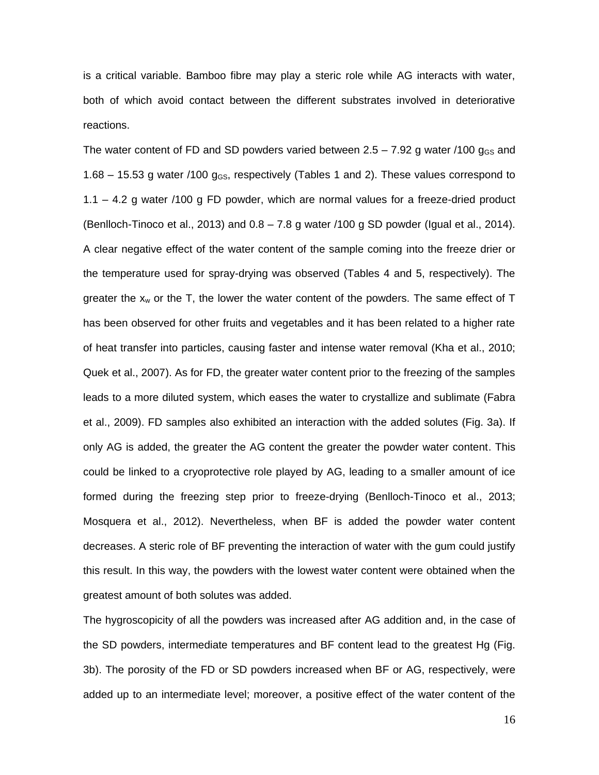is a critical variable. Bamboo fibre may play a steric role while AG interacts with water, both of which avoid contact between the different substrates involved in deteriorative reactions.

The water content of FD and SD powders varied between  $2.5 - 7.92$  g water /100  $g_{GS}$  and 1.68 – 15.53 g water /100  $q_{GS}$ , respectively (Tables 1 and 2). These values correspond to 1.1 – 4.2 g water /100 g FD powder, which are normal values for a freeze-dried product (Benlloch-Tinoco et al., 2013) and 0.8 – 7.8 g water /100 g SD powder (Igual et al., 2014). A clear negative effect of the water content of the sample coming into the freeze drier or the temperature used for spray-drying was observed (Tables 4 and 5, respectively). The greater the  $x_w$  or the T, the lower the water content of the powders. The same effect of T has been observed for other fruits and vegetables and it has been related to a higher rate of heat transfer into particles, causing faster and intense water removal (Kha et al., 2010; Quek et al., 2007). As for FD, the greater water content prior to the freezing of the samples leads to a more diluted system, which eases the water to crystallize and sublimate (Fabra et al., 2009). FD samples also exhibited an interaction with the added solutes (Fig. 3a). If only AG is added, the greater the AG content the greater the powder water content. This could be linked to a cryoprotective role played by AG, leading to a smaller amount of ice formed during the freezing step prior to freeze-drying (Benlloch-Tinoco et al., 2013; Mosquera et al., 2012). Nevertheless, when BF is added the powder water content decreases. A steric role of BF preventing the interaction of water with the gum could justify this result. In this way, the powders with the lowest water content were obtained when the greatest amount of both solutes was added.

The hygroscopicity of all the powders was increased after AG addition and, in the case of the SD powders, intermediate temperatures and BF content lead to the greatest Hg (Fig. 3b). The porosity of the FD or SD powders increased when BF or AG, respectively, were added up to an intermediate level; moreover, a positive effect of the water content of the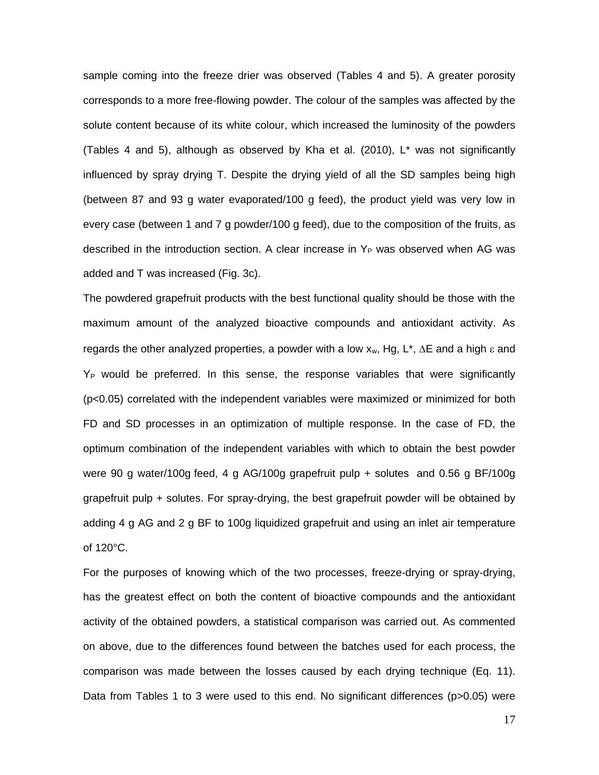sample coming into the freeze drier was observed (Tables 4 and 5). A greater porosity corresponds to a more free-flowing powder. The colour of the samples was affected by the solute content because of its white colour, which increased the luminosity of the powders (Tables 4 and 5), although as observed by Kha et al. (2010), L\* was not significantly influenced by spray drying T. Despite the drying yield of all the SD samples being high (between 87 and 93 g water evaporated/100 g feed), the product yield was very low in every case (between 1 and 7 g powder/100 g feed), due to the composition of the fruits, as described in the introduction section. A clear increase in  $Y_P$  was observed when AG was added and T was increased (Fig. 3c).

The powdered grapefruit products with the best functional quality should be those with the maximum amount of the analyzed bioactive compounds and antioxidant activity. As regards the other analyzed properties, a powder with a low  $x_w$ , Hg, L<sup>\*</sup>,  $\Delta E$  and a high  $\varepsilon$  and  $Y_P$  would be preferred. In this sense, the response variables that were significantly (p<0.05) correlated with the independent variables were maximized or minimized for both FD and SD processes in an optimization of multiple response. In the case of FD, the optimum combination of the independent variables with which to obtain the best powder were 90 g water/100g feed, 4 g AG/100g grapefruit pulp + solutes and 0.56 g BF/100g grapefruit pulp + solutes. For spray-drying, the best grapefruit powder will be obtained by adding 4 g AG and 2 g BF to 100g liquidized grapefruit and using an inlet air temperature of 120°C.

For the purposes of knowing which of the two processes, freeze-drying or spray-drying, has the greatest effect on both the content of bioactive compounds and the antioxidant activity of the obtained powders, a statistical comparison was carried out. As commented on above, due to the differences found between the batches used for each process, the comparison was made between the losses caused by each drying technique (Eq. 11). Data from Tables 1 to 3 were used to this end. No significant differences (p>0.05) were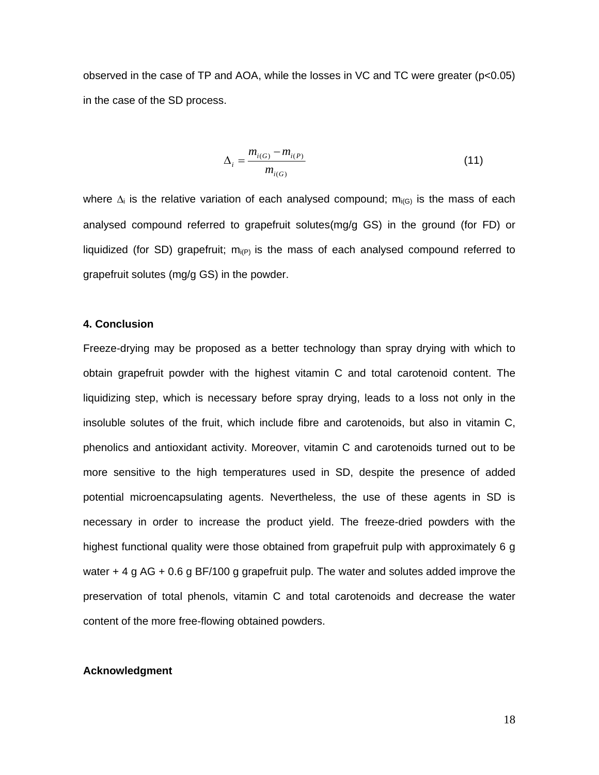observed in the case of TP and AOA, while the losses in VC and TC were greater (p<0.05) in the case of the SD process.

$$
\Delta_{i} = \frac{m_{i(G)} - m_{i(P)}}{m_{i(G)}}\tag{11}
$$

where  $\Delta_i$  is the relative variation of each analysed compound; m<sub>i(G)</sub> is the mass of each analysed compound referred to grapefruit solutes(mg/g GS) in the ground (for FD) or liquidized (for SD) grapefruit;  $m_{i(P)}$  is the mass of each analysed compound referred to grapefruit solutes (mg/g GS) in the powder.

## **4. Conclusion**

Freeze-drying may be proposed as a better technology than spray drying with which to obtain grapefruit powder with the highest vitamin C and total carotenoid content. The liquidizing step, which is necessary before spray drying, leads to a loss not only in the insoluble solutes of the fruit, which include fibre and carotenoids, but also in vitamin C, phenolics and antioxidant activity. Moreover, vitamin C and carotenoids turned out to be more sensitive to the high temperatures used in SD, despite the presence of added potential microencapsulating agents. Nevertheless, the use of these agents in SD is necessary in order to increase the product yield. The freeze-dried powders with the highest functional quality were those obtained from grapefruit pulp with approximately 6 g water + 4 g AG + 0.6 g BF/100 g grapefruit pulp. The water and solutes added improve the preservation of total phenols, vitamin C and total carotenoids and decrease the water content of the more free-flowing obtained powders.

#### **Acknowledgment**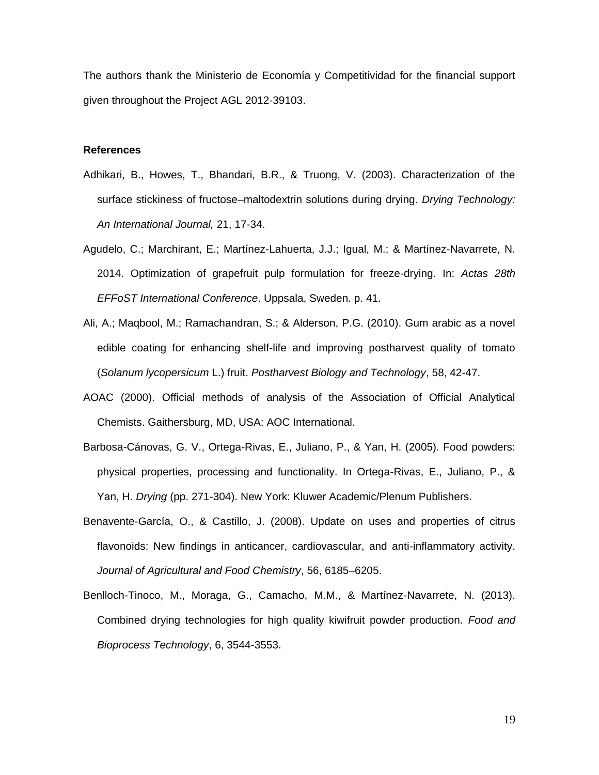The authors thank the Ministerio de Economía y Competitividad for the financial support given throughout the Project AGL 2012-39103.

#### **References**

- Adhikari, B., Howes, T., Bhandari, B.R., & Truong, V. (2003). Characterization of the surface stickiness of fructose–maltodextrin solutions during drying. *Drying Technology: An International Journal,* 21, 17-34.
- Agudelo, C.; Marchirant, E.; Martínez-Lahuerta, J.J.; Igual, M.; & Martínez-Navarrete, N. 2014. Optimization of grapefruit pulp formulation for freeze-drying. In: *Actas 28th EFFoST International Conference*. Uppsala, Sweden. p. 41.
- Ali, A.; Maqbool, M.; Ramachandran, S.; & Alderson, P.G. (2010). Gum arabic as a novel edible coating for enhancing shelf-life and improving postharvest quality of tomato (*Solanum lycopersicum* L.) fruit. *Postharvest Biology and Technology*, 58, 42-47.
- AOAC (2000). Official methods of analysis of the Association of Official Analytical Chemists. Gaithersburg, MD, USA: AOC International.
- Barbosa-Cánovas, G. V., Ortega-Rivas, E., Juliano, P., & Yan, H. (2005). Food powders: physical properties, processing and functionality. In Ortega-Rivas, E., Juliano, P., & Yan, H. *Drying* (pp. 271-304). New York: Kluwer Academic/Plenum Publishers.
- Benavente-García, O., & Castillo, J. (2008). Update on uses and properties of citrus flavonoids: New findings in anticancer, cardiovascular, and anti-inflammatory activity. *Journal of Agricultural and Food Chemistry*, 56, 6185–6205.
- Benlloch-Tinoco, M., Moraga, G., Camacho, M.M., & Martínez-Navarrete, N. (2013). Combined drying technologies for high quality kiwifruit powder production. *Food and Bioprocess Technology*, 6, 3544-3553.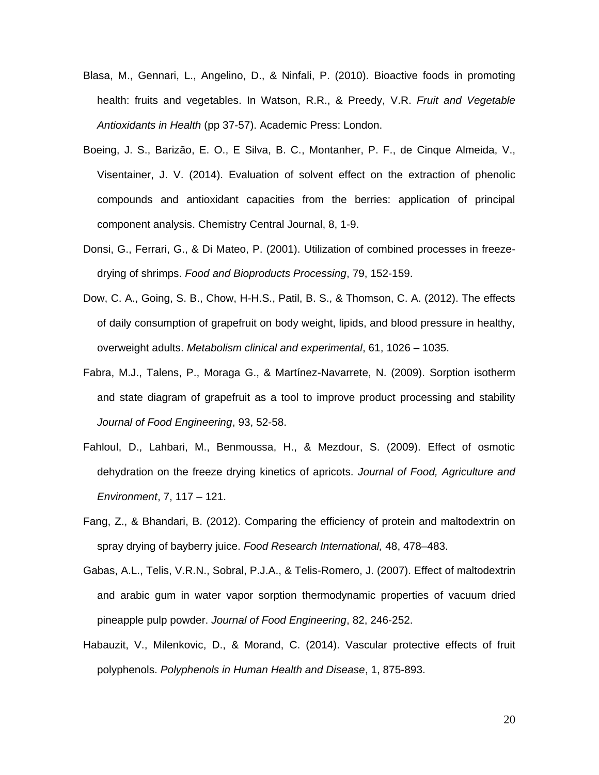- Blasa, M., Gennari, L., Angelino, D., & Ninfali, P. (2010). Bioactive foods in promoting health: fruits and vegetables. In Watson, R.R., & Preedy, V.R. *Fruit and Vegetable Antioxidants in Health* (pp 37-57). Academic Press: London.
- Boeing, J. S., Barizão, E. O., E Silva, B. C., Montanher, P. F., de Cinque Almeida, V., Visentainer, J. V. (2014). Evaluation of solvent effect on the extraction of phenolic compounds and antioxidant capacities from the berries: application of principal component analysis. Chemistry Central Journal, 8, 1-9.
- Donsi, G., Ferrari, G., & Di Mateo, P. (2001). Utilization of combined processes in freezedrying of shrimps. *Food and Bioproducts Processing*, 79, 152-159.
- Dow, C. A., Going, S. B., Chow, H-H.S., Patil, B. S., & Thomson, C. A. (2012). The effects of daily consumption of grapefruit on body weight, lipids, and blood pressure in healthy, overweight adults. *Metabolism clinical and experimental*, 61, 1026 – 1035.
- Fabra, M.J., Talens, P., Moraga G., & Martínez-Navarrete, N. (2009). Sorption isotherm and state diagram of grapefruit as a tool to improve product processing and stability *Journal of Food Engineering*, 93, 52-58.
- Fahloul, D., Lahbari, M., Benmoussa, H., & Mezdour, S. (2009). Effect of osmotic dehydration on the freeze drying kinetics of apricots. *Journal of Food, Agriculture and Environment*, 7, 117 – 121.
- Fang, Z., & Bhandari, B. (2012). Comparing the efficiency of protein and maltodextrin on spray drying of bayberry juice. *Food Research International,* 48, 478–483.
- Gabas, A.L., Telis, V.R.N., Sobral, P.J.A., & Telis-Romero, J. (2007). Effect of maltodextrin and arabic gum in water vapor sorption thermodynamic properties of vacuum dried pineapple pulp powder. *Journal of Food Engineering*, 82, 246-252.
- Habauzit, V., Milenkovic, D., & Morand, C. (2014). Vascular protective effects of fruit polyphenols. *Polyphenols in Human Health and Disease*, 1, 875-893.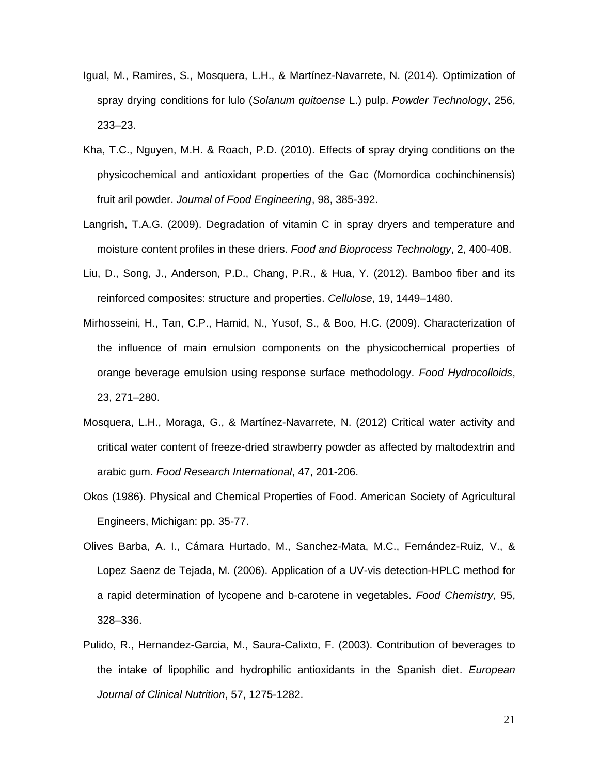- Igual, M., Ramires, S., Mosquera, L.H., & Martínez-Navarrete, N. (2014). Optimization of spray drying conditions for lulo (*Solanum quitoense* L.) pulp. *Powder Technology*, 256, 233–23.
- Kha, T.C., Nguyen, M.H. & Roach, P.D. (2010). Effects of spray drying conditions on the physicochemical and antioxidant properties of the Gac (Momordica cochinchinensis) fruit aril powder. *Journal of Food Engineering*, 98, 385-392.
- Langrish, T.A.G. (2009). Degradation of vitamin C in spray dryers and temperature and moisture content profiles in these driers. *Food and Bioprocess Technology*, 2, 400-408.
- Liu, D., Song, J., Anderson, P.D., Chang, P.R., & Hua, Y. (2012). Bamboo fiber and its reinforced composites: structure and properties. *Cellulose*, 19, 1449–1480.
- Mirhosseini, H., Tan, C.P., Hamid, N., Yusof, S., & Boo, H.C. (2009). Characterization of the influence of main emulsion components on the physicochemical properties of orange beverage emulsion using response surface methodology. *Food Hydrocolloids*, 23, 271–280.
- Mosquera, L.H., Moraga, G., & Martínez-Navarrete, N. (2012) Critical water activity and critical water content of freeze-dried strawberry powder as affected by maltodextrin and arabic gum. *Food Research International*, 47, 201-206.
- Okos (1986). Physical and Chemical Properties of Food. American Society of Agricultural Engineers, Michigan: pp. 35-77.
- Olives Barba, A. I., Cámara Hurtado, M., Sanchez-Mata, M.C., Fernández-Ruiz, V., & Lopez Saenz de Tejada, M. (2006). Application of a UV-vis detection-HPLC method for a rapid determination of lycopene and b-carotene in vegetables. *Food Chemistry*, 95, 328–336.
- Pulido, R., Hernandez-Garcia, M., Saura-Calixto, F. (2003). Contribution of beverages to the intake of lipophilic and hydrophilic antioxidants in the Spanish diet. *European Journal of Clinical Nutrition*, 57, 1275-1282.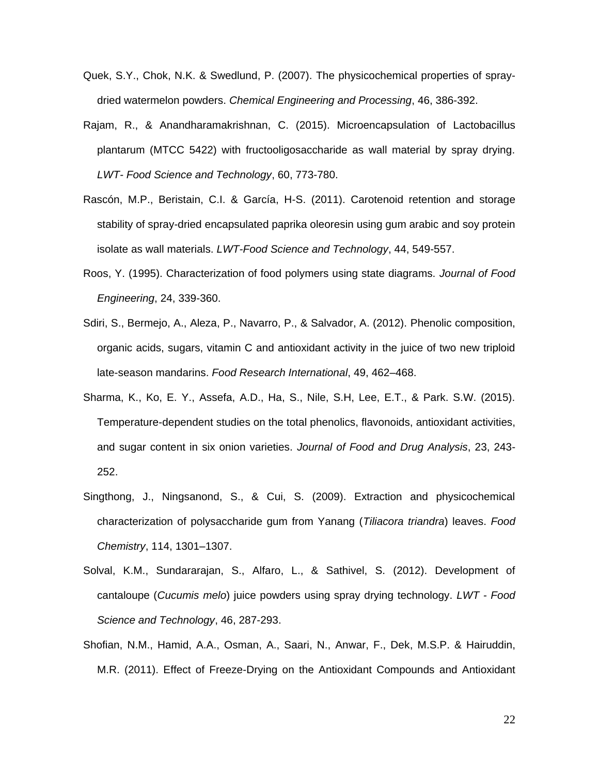- Quek, S.Y., Chok, N.K. & Swedlund, P. (2007). The physicochemical properties of spraydried watermelon powders. *Chemical Engineering and Processing*, 46, 386-392.
- Rajam, R., & Anandharamakrishnan, C. (2015). Microencapsulation of Lactobacillus plantarum (MTCC 5422) with fructooligosaccharide as wall material by spray drying. *LWT- Food Science and Technology*, 60, 773-780.
- Rascón, M.P., Beristain, C.I. & García, H-S. (2011). Carotenoid retention and storage stability of spray-dried encapsulated paprika oleoresin using gum arabic and soy protein isolate as wall materials. *LWT-Food Science and Technology*, 44, 549-557.
- Roos, Y. (1995). Characterization of food polymers using state diagrams. *Journal of Food Engineering*, 24, 339-360.
- Sdiri, S., Bermejo, A., Aleza, P., Navarro, P., & Salvador, A. (2012). Phenolic composition, organic acids, sugars, vitamin C and antioxidant activity in the juice of two new triploid late-season mandarins. *Food Research International*, 49, 462–468.
- Sharma, K., Ko, E. Y., Assefa, A.D., Ha, S., Nile, S.H, Lee, E.T., & Park. S.W. (2015). Temperature-dependent studies on the total phenolics, flavonoids, antioxidant activities, and sugar content in six onion varieties. *Journal of Food and Drug Analysis*, 23, 243- 252.
- Singthong, J., Ningsanond, S., & Cui, S. (2009). Extraction and physicochemical characterization of polysaccharide gum from Yanang (*Tiliacora triandra*) leaves. *Food Chemistry*, 114, 1301–1307.
- Solval, K.M., Sundararajan, S., Alfaro, L., & Sathivel, S. (2012). Development of cantaloupe (*Cucumis melo*) juice powders using spray drying technology. *LWT - Food Science and Technology*, 46, 287-293.
- Shofian, N.M., Hamid, A.A., Osman, A., Saari, N., Anwar, F., Dek, M.S.P. & Hairuddin, M.R. (2011). Effect of Freeze-Drying on the Antioxidant Compounds and Antioxidant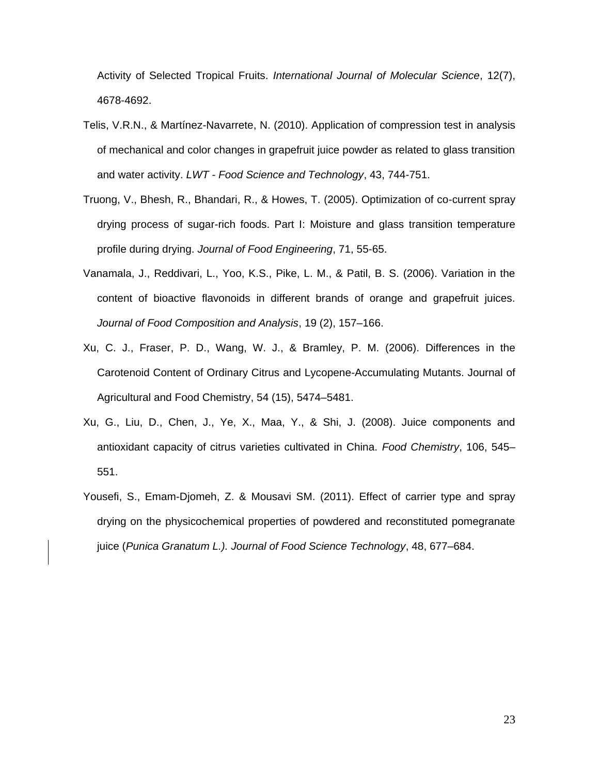Activity of Selected Tropical Fruits. *International Journal of Molecular Science*, 12(7), 4678-4692.

- Telis, V.R.N., & Martínez-Navarrete, N. (2010). Application of compression test in analysis of mechanical and color changes in grapefruit juice powder as related to glass transition and water activity. *LWT - Food Science and Technology*, 43, 744-751.
- Truong, V., Bhesh, R., Bhandari, R., & Howes, T. (2005). Optimization of co-current spray drying process of sugar-rich foods. Part I: Moisture and glass transition temperature profile during drying. *Journal of Food Engineering*, 71, 55-65.
- Vanamala, J., Reddivari, L., Yoo, K.S., Pike, L. M., & Patil, B. S. (2006). Variation in the content of bioactive flavonoids in different brands of orange and grapefruit juices. *Journal of Food Composition and Analysis*, 19 (2), 157–166.
- Xu, C. J., Fraser, P. D., Wang, W. J., & Bramley, P. M. (2006). Differences in the Carotenoid Content of Ordinary Citrus and Lycopene-Accumulating Mutants. Journal of Agricultural and Food Chemistry, 54 (15), 5474–5481.
- Xu, G., Liu, D., Chen, J., Ye, X., Maa, Y., & Shi, J. (2008). Juice components and antioxidant capacity of citrus varieties cultivated in China. *Food Chemistry*, 106, 545– 551.
- Yousefi, S., Emam-Djomeh, Z. & Mousavi SM. (2011). Effect of carrier type and spray drying on the physicochemical properties of powdered and reconstituted pomegranate juice (*Punica Granatum L.). Journal of Food Science Technology*, 48, 677–684.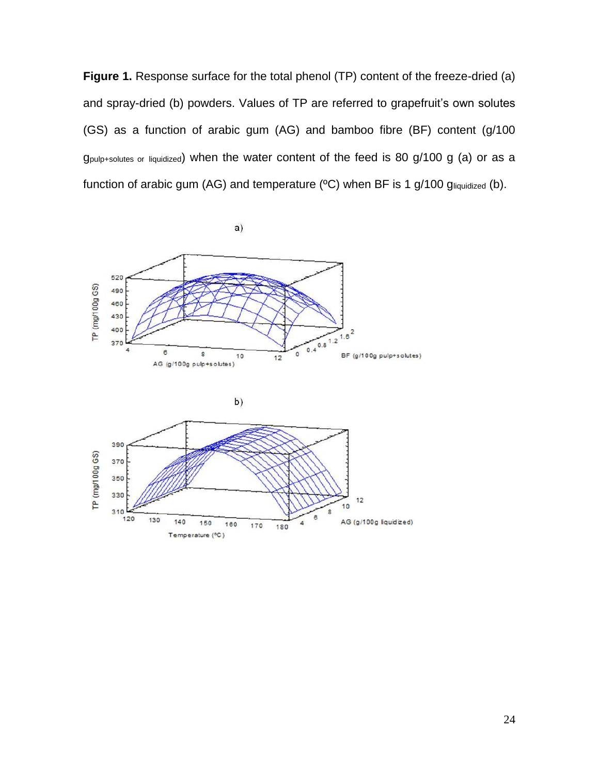**Figure 1.** Response surface for the total phenol (TP) content of the freeze-dried (a) and spray-dried (b) powders. Values of TP are referred to grapefruit's own solutes (GS) as a function of arabic gum (AG) and bamboo fibre (BF) content (g/100 gpulp+solutes or liquidized) when the water content of the feed is 80 g/100 g (a) or as a function of arabic gum (AG) and temperature (°C) when BF is 1 g/100 gliquidized (b).



$$
\mathbf{b}
$$

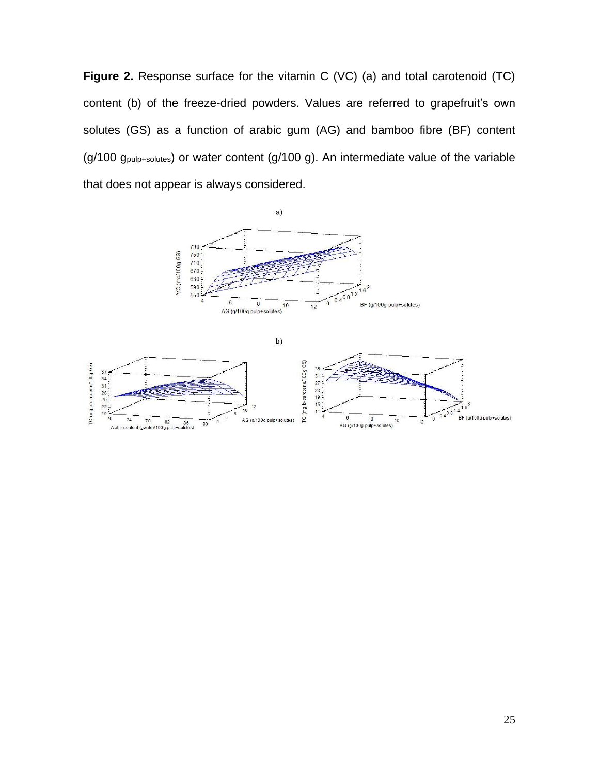**Figure 2.** Response surface for the vitamin C (VC) (a) and total carotenoid (TC) content (b) of the freeze-dried powders. Values are referred to grapefruit's own solutes (GS) as a function of arabic gum (AG) and bamboo fibre (BF) content (g/100 gpulp+solutes) or water content (g/100 g). An intermediate value of the variable that does not appear is always considered.



b)

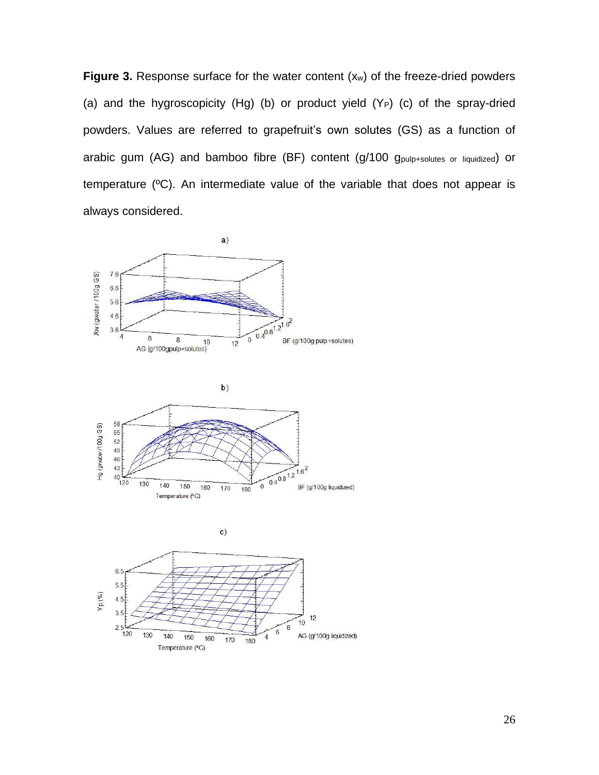**Figure 3.** Response surface for the water content (xw) of the freeze-dried powders (a) and the hygroscopicity  $(Hg)$  (b) or product yield  $(Y_P)$  (c) of the spray-dried powders. Values are referred to grapefruit's own solutes (GS) as a function of arabic gum (AG) and bamboo fibre (BF) content (g/100 g<sub>pulp+solutes or liquidized</sub>) or temperature (ºC). An intermediate value of the variable that does not appear is always considered.

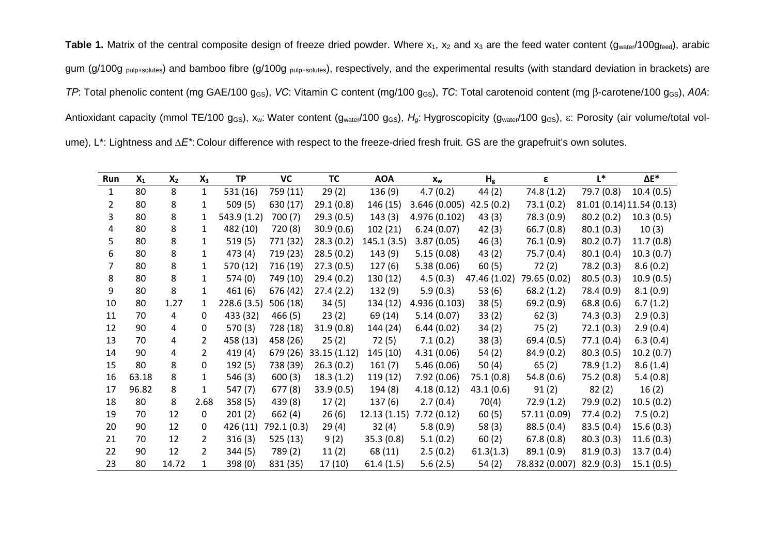Table 1. Matrix of the central composite design of freeze dried powder. Where x<sub>1</sub>, x<sub>2</sub> and x<sub>3</sub> are the feed water content (g<sub>water</sub>/100gfeed), arabic gum (g/100g pulp+solutes) and bamboo fibre (g/100g pulp+solutes), respectively, and the experimental results (with standard deviation in brackets) are *TP*: Total phenolic content (mg GAE/100 g<sub>GS</sub>), *VC*: Vitamin C content (mg/100 g<sub>GS</sub>), *TC*: Total carotenoid content (mg β-carotene/100 g<sub>GS</sub>), *A0A*: Antioxidant capacity (mmol TE/100 g<sub>GS</sub>), x<sub>w</sub>: Water content (g<sub>water</sub>/100 g<sub>GS</sub>), *H<sub>g</sub>*: Hygroscopicity (g<sub>water</sub>/100 g<sub>GS</sub>), ε: Porosity (air volume/total volume), L\*: Lightness and *∆E\**: Colour difference with respect to the freeze-dried fresh fruit. GS are the grapefruit's own solutes.

| Run | $X_1$ | $X_2$ | $X_3$                 | <b>TP</b>   | VC          | <b>TC</b>   | <b>AOA</b>  | $x_w$         | H <sub>g</sub> | ε              | $L^*$      | $\Delta E^*$              |
|-----|-------|-------|-----------------------|-------------|-------------|-------------|-------------|---------------|----------------|----------------|------------|---------------------------|
| 1   | 80    | 8     | $\mathbf{1}$          | 531 (16)    | 759 (11)    | 29(2)       | 136 (9)     | 4.7(0.2)      | 44 (2)         | 74.8 (1.2)     | 79.7 (0.8) | 10.4(0.5)                 |
| 2   | 80    | 8     | 1                     | 509(5)      | 630 (17)    | 29.1(0.8)   | 146 (15)    | 3.646(0.005)  | 42.5(0.2)      | 73.1(0.2)      |            | 81.01 (0.14) 11.54 (0.13) |
| 3   | 80    | 8     | 1                     | 543.9 (1.2) | 700(7)      | 29.3(0.5)   | 143(3)      | 4.976 (0.102) | 43(3)          | 78.3 (0.9)     | 80.2(0.2)  | 10.3(0.5)                 |
| 4   | 80    | 8     | 1                     | 482 (10)    | 720 (8)     | 30.9(0.6)   | 102(21)     | 6.24(0.07)    | 42(3)          | 66.7(0.8)      | 80.1(0.3)  | 10(3)                     |
| 5.  | 80    | 8     | 1                     | 519(5)      | 771 (32)    | 28.3(0.2)   | 145.1(3.5)  | 3.87(0.05)    | 46(3)          | 76.1(0.9)      | 80.2(0.7)  | 11.7(0.8)                 |
| 6   | 80    | 8     | 1                     | 473 (4)     | 719 (23)    | 28.5(0.2)   | 143 (9)     | 5.15(0.08)    | 43 (2)         | 75.7(0.4)      | 80.1(0.4)  | 10.3(0.7)                 |
|     | 80    | 8     | 1                     | 570 (12)    | 716 (19)    | 27.3(0.5)   | 127(6)      | 5.38(0.06)    | 60(5)          | 72(2)          | 78.2 (0.3) | 8.6(0.2)                  |
| 8   | 80    | 8     | 1                     | 574 (0)     | 749 (10)    | 29.4(0.2)   | 130(12)     | 4.5(0.3)      | 47.46 (1.02)   | 79.65 (0.02)   | 80.5(0.3)  | 10.9(0.5)                 |
| 9   | 80    | 8     | 1                     | 461 (6)     | 676 (42)    | 27.4(2.2)   | 132(9)      | 5.9(0.3)      | 53 (6)         | 68.2(1.2)      | 78.4 (0.9) | 8.1(0.9)                  |
| 10  | 80    | 1.27  | 1                     | 228.6(3.5)  | 506 (18)    | 34(5)       | 134 (12)    | 4.936 (0.103) | 38(5)          | 69.2(0.9)      | 68.8(0.6)  | 6.7(1.2)                  |
| 11  | 70    | 4     | 0                     | 433 (32)    | 466(5)      | 23(2)       | 69 (14)     | 5.14(0.07)    | 33(2)          | 62(3)          | 74.3(0.3)  | 2.9(0.3)                  |
| 12  | 90    | 4     | 0                     | 570 (3)     | 728 (18)    | 31.9(0.8)   | 144 (24)    | 6.44(0.02)    | 34(2)          | 75(2)          | 72.1(0.3)  | 2.9(0.4)                  |
| 13  | 70    | 4     | $\mathbf{2}^{\prime}$ | 458 (13)    | 458 (26)    | 25(2)       | 72 (5)      | 7.1(0.2)      | 38(3)          | 69.4(0.5)      | 77.1(0.4)  | 6.3(0.4)                  |
| 14  | 90    | 4     | $\mathbf{2}^{\prime}$ | 419 (4)     | 679 (26)    | 33.15(1.12) | 145 (10)    | 4.31(0.06)    | 54(2)          | 84.9(0.2)      | 80.3(0.5)  | 10.2(0.7)                 |
| 15  | 80    | 8     | $\Omega$              | 192(5)      | 738 (39)    | 26.3(0.2)   | 161(7)      | 5.46(0.06)    | 50 $(4)$       | 65(2)          | 78.9 (1.2) | 8.6(1.4)                  |
| 16  | 63.18 | 8     | $\mathbf{1}$          | 546 (3)     | 600(3)      | 18.3(1.2)   | 119(12)     | 7.92 (0.06)   | 75.1(0.8)      | 54.8(0.6)      | 75.2 (0.8) | 5.4(0.8)                  |
| 17  | 96.82 | 8     | 1                     | 547 (7)     | 677 (8)     | 33.9(0.5)   | 194 (8)     | 4.18(0.12)    | 43.1(0.6)      | 91(2)          | 82(2)      | 16(2)                     |
| 18  | 80    | 8     | 2.68                  | 358(5)      | 439 (8)     | 17(2)       | 137(6)      | 2.7(0.4)      | 70(4)          | 72.9(1.2)      | 79.9 (0.2) | 10.5(0.2)                 |
| 19  | 70    | 12    | 0                     | 201(2)      | 662 (4)     | 26(6)       | 12.13(1.15) | 7.72(0.12)    | 60(5)          | 57.11 (0.09)   | 77.4(0.2)  | 7.5(0.2)                  |
| 20  | 90    | 12    | $\Omega$              | 426 (11)    | 792.1 (0.3) | 29(4)       | 32(4)       | 5.8(0.9)      | 58 (3)         | 88.5(0.4)      | 83.5(0.4)  | 15.6(0.3)                 |
| 21  | 70    | 12    | 2                     | 316(3)      | 525 (13)    | 9(2)        | 35.3(0.8)   | 5.1(0.2)      | 60(2)          | 67.8(0.8)      | 80.3(0.3)  | 11.6(0.3)                 |
| 22  | 90    | 12    | $\overline{2}$        | 344(5)      | 789(2)      | 11(2)       | 68 (11)     | 2.5(0.2)      | 61.3(1.3)      | 89.1(0.9)      | 81.9(0.3)  | 13.7(0.4)                 |
| 23  | 80    | 14.72 | 1                     | 398 (0)     | 831 (35)    | 17(10)      | 61.4(1.5)   | 5.6(2.5)      | 54(2)          | 78.832 (0.007) | 82.9(0.3)  | 15.1(0.5)                 |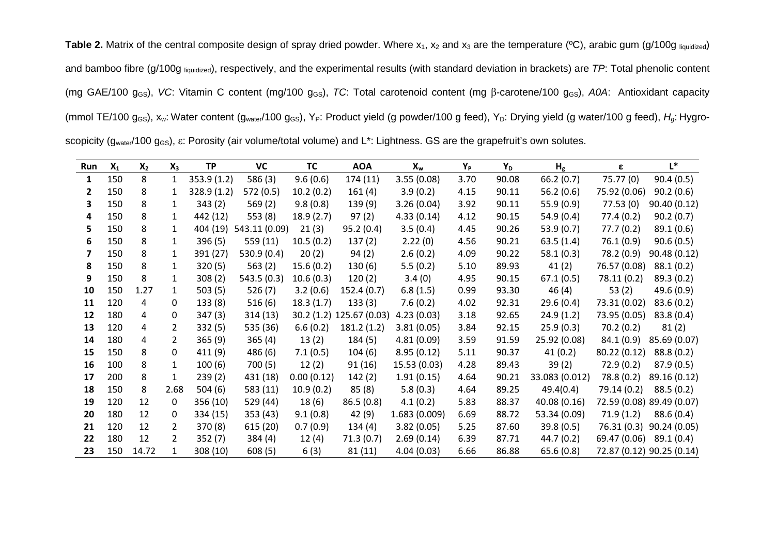**Table 2.** Matrix of the central composite design of spray dried powder. Where x<sub>1</sub>, x<sub>2</sub> and x<sub>3</sub> are the temperature (°C), arabic gum (g/100g liquidized) and bamboo fibre (g/100g liquidized), respectively, and the experimental results (with standard deviation in brackets) are *TP*: Total phenolic content (mg GAE/100 g<sub>GS</sub>), *VC*: Vitamin C content (mg/100 g<sub>GS</sub>), *TC*: Total carotenoid content (mg β-carotene/100 g<sub>GS</sub>), *A0A*: Antioxidant capacity (mmol TE/100 g<sub>GS</sub>), x<sub>w</sub>: Water content (g<sub>water</sub>/100 g<sub>GS</sub>), Y<sub>P</sub>: Product yield (g powder/100 g feed), Y<sub>D</sub>: Drying yield (g water/100 g feed), H<sub>g</sub>: Hygroscopicity (g<sub>water</sub>/100 g<sub>GS</sub>), ε: Porosity (air volume/total volume) and L<sup>\*</sup>: Lightness. GS are the grapefruit's own solutes.

| Run | $X_1$ | $X_2$ | $X_3$        | <b>TP</b>   | VC            | <b>TC</b>  | <b>AOA</b>               | $X_w$        | Y <sub>P</sub> | Y <sub>D</sub> | H <sub>g</sub> | ε            | $L^*$                     |
|-----|-------|-------|--------------|-------------|---------------|------------|--------------------------|--------------|----------------|----------------|----------------|--------------|---------------------------|
| 1   | 150   | 8     | 1            | 353.9(1.2)  | 586 (3)       | 9.6(0.6)   | 174 (11)                 | 3.55(0.08)   | 3.70           | 90.08          | 66.2(0.7)      | 75.77 (0)    | 90.4(0.5)                 |
| 2   | 150   | 8     | 1            | 328.9 (1.2) | 572 (0.5)     | 10.2(0.2)  | 161(4)                   | 3.9(0.2)     | 4.15           | 90.11          | 56.2(0.6)      | 75.92 (0.06) | 90.2(0.6)                 |
|     | 150   | 8     | 1.           | 343(2)      | 569(2)        | 9.8(0.8)   | 139 (9)                  | 3.26(0.04)   | 3.92           | 90.11          | 55.9(0.9)      | 77.53(0)     | 90.40(0.12)               |
| 4   | 150   | 8     | 1            | 442 (12)    | 553(8)        | 18.9(2.7)  | 97(2)                    | 4.33(0.14)   | 4.12           | 90.15          | 54.9(0.4)      | 77.4(0.2)    | 90.2(0.7)                 |
|     | 150   | 8     | 1            | 404 (19)    | 543.11 (0.09) | 21(3)      | 95.2(0.4)                | 3.5(0.4)     | 4.45           | 90.26          | 53.9(0.7)      | 77.7(0.2)    | 89.1(0.6)                 |
| 6   | 150   | 8     | $\mathbf{1}$ | 396 (5)     | 559 (11)      | 10.5(0.2)  | 137(2)                   | 2.22(0)      | 4.56           | 90.21          | 63.5(1.4)      | 76.1(0.9)    | 90.6(0.5)                 |
|     | 150   | 8     | $\mathbf{1}$ | 391 (27)    | 530.9 (0.4)   | 20(2)      | 94(2)                    | 2.6(0.2)     | 4.09           | 90.22          | 58.1(0.3)      | 78.2 (0.9)   | 90.48(0.12)               |
| 8   | 150   | 8     | 1            | 320(5)      | 563(2)        | 15.6(0.2)  | 130(6)                   | 5.5(0.2)     | 5.10           | 89.93          | 41(2)          | 76.57 (0.08) | 88.1(0.2)                 |
| 9   | 150   | 8     | $\mathbf{1}$ | 308(2)      | 543.5 (0.3)   | 10.6(0.3)  | 120(2)                   | 3.4(0)       | 4.95           | 90.15          | 67.1(0.5)      | 78.11 (0.2)  | 89.3(0.2)                 |
| 10  | 150   | 1.27  | $\mathbf{1}$ | 503(5)      | 526(7)        | 3.2(0.6)   | 152.4 (0.7)              | 6.8(1.5)     | 0.99           | 93.30          | 46(4)          | 53(2)        | 49.6 (0.9)                |
| 11  | 120   | 4     | 0            | 133(8)      | 516(6)        | 18.3(1.7)  | 133(3)                   | 7.6(0.2)     | 4.02           | 92.31          | 29.6(0.4)      | 73.31 (0.02) | 83.6(0.2)                 |
| 12  | 180   | 4     | 0            | 347(3)      | 314 (13)      |            | 30.2 (1.2) 125.67 (0.03) | 4.23(0.03)   | 3.18           | 92.65          | 24.9(1.2)      | 73.95 (0.05) | 83.8(0.4)                 |
| 13  | 120   | 4     | 2            | 332(5)      | 535 (36)      | 6.6(0.2)   | 181.2 (1.2)              | 3.81(0.05)   | 3.84           | 92.15          | 25.9(0.3)      | 70.2(0.2)    | 81(2)                     |
| 14  | 180   | 4     | $2^{\circ}$  | 365(9)      | 365(4)        | 13(2)      | 184 (5)                  | 4.81(0.09)   | 3.59           | 91.59          | 25.92 (0.08)   | 84.1(0.9)    | 85.69 (0.07)              |
| 15  | 150   | 8     | 0            | 411 (9)     | 486 (6)       | 7.1(0.5)   | 104(6)                   | 8.95(0.12)   | 5.11           | 90.37          | 41(0.2)        | 80.22 (0.12) | 88.8(0.2)                 |
| 16  | 100   | 8     | 1            | 100(6)      | 700 (5)       | 12(2)      | 91 (16)                  | 15.53 (0.03) | 4.28           | 89.43          | 39(2)          | 72.9(0.2)    | 87.9(0.5)                 |
| 17  | 200   | 8     | $\mathbf{1}$ | 239(2)      | 431 (18)      | 0.00(0.12) | 142(2)                   | 1.91(0.15)   | 4.64           | 90.21          | 33.083 (0.012) | 78.8 (0.2)   | 89.16 (0.12)              |
| 18  | 150   | 8     | 2.68         | 504(6)      | 583 (11)      | 10.9(0.2)  | 85(8)                    | 5.8(0.3)     | 4.64           | 89.25          | 49.4(0.4)      | 79.14 (0.2)  | 88.5(0.2)                 |
| 19  | 120   | 12    | 0            | 356 (10)    | 529 (44)      | 18(6)      | 86.5(0.8)                | 4.1(0.2)     | 5.83           | 88.37          | 40.08 (0.16)   |              | 72.59 (0.08) 89.49 (0.07) |
| 20  | 180   | 12    | 0            | 334 (15)    | 353 (43)      | 9.1(0.8)   | 42(9)                    | 1.683(0.009) | 6.69           | 88.72          | 53.34 (0.09)   | 71.9(1.2)    | 88.6(0.4)                 |
| 21  | 120   | 12    | 2            | 370 (8)     | 615 (20)      | 0.7(0.9)   | 134(4)                   | 3.82(0.05)   | 5.25           | 87.60          | 39.8(0.5)      | 76.31 (0.3)  | 90.24 (0.05)              |
| 22  | 180   | 12    | 2            | 352(7)      | 384 (4)       | 12(4)      | 71.3(0.7)                | 2.69(0.14)   | 6.39           | 87.71          | 44.7(0.2)      | 69.47 (0.06) | 89.1 (0.4)                |
| 23  | 150   | 14.72 | 1            | 308 (10)    | 608(5)        | 6(3)       | 81 (11)                  | 4.04(0.03)   | 6.66           | 86.88          | 65.6(0.8)      |              | 72.87 (0.12) 90.25 (0.14) |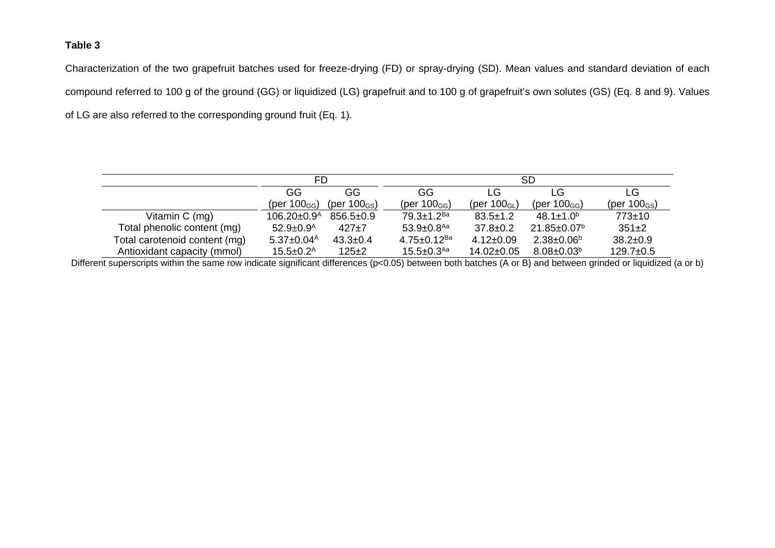# **Table 3**

Characterization of the two grapefruit batches used for freeze-drying (FD) or spray-drying (SD). Mean values and standard deviation of each compound referred to 100 g of the ground (GG) or liquidized (LG) grapefruit and to 100 g of grapefruit's own solutes (GS) (Eq. 8 and 9). Values of LG are also referred to the corresponding ground fruit (Eq. 1).

|                               | FD.                          |                          | <b>SD</b>                     |                            |                               |                          |  |  |
|-------------------------------|------------------------------|--------------------------|-------------------------------|----------------------------|-------------------------------|--------------------------|--|--|
|                               | GG                           | GG.                      | GG                            | LG                         | LG.                           | LG.                      |  |  |
|                               | (per $100_{GG}$ )            | (per $100_{\text{GS}}$ ) | (per $100_{GG}$ )             | (per $100$ <sub>GL</sub> ) | (per $100_{GG}$ )             | (per $100_{\text{GS}}$ ) |  |  |
| Vitamin $C$ (mg)              | $106.20 \pm 0.9^{\text{A}}$  | $856.5 \pm 0.9$          | $79.3 \pm 1.2$ <sup>Ba</sup>  | $83.5 \pm 1.2$             | $48.1 \pm 1.0^b$              | $773+10$                 |  |  |
| Total phenolic content (mg)   | $52.9 \pm 0.9^{\text{A}}$    | $427+7$                  | $53.9 \pm 0.8$ <sup>Aa</sup>  | $37.8 \pm 0.2$             | $21.85 \pm 0.07$ <sup>b</sup> | $351+2$                  |  |  |
| Total carotenoid content (mg) | $5.37 \pm 0.04$ <sup>A</sup> | $43.3 \pm 0.4$           | $4.75 \pm 0.12$ <sup>Ba</sup> | $4.12 \pm 0.09$            | $2.38 \pm 0.06^{\circ}$       | $38.2 \pm 0.9$           |  |  |
| Antioxidant capacity (mmol)   | $15.5 \pm 0.2^{\text{A}}$    | $125 + 2$                | $15.5 \pm 0.3$ <sup>Aa</sup>  | $14.02 \pm 0.05$           | $8.08 \pm 0.03^b$             | $129.7 \pm 0.5$          |  |  |

Different superscripts within the same row indicate significant differences (p<0.05) between both batches (A or B) and between grinded or liquidized (a or b)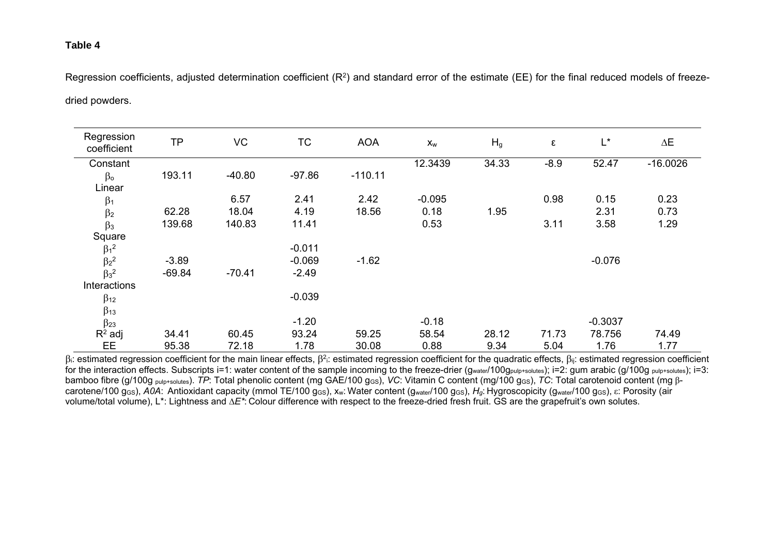## **Table 4**

Regression coefficients, adjusted determination coefficient (R<sup>2</sup>) and standard error of the estimate (EE) for the final reduced models of freezedried powders.

| Regression<br>coefficient | <b>TP</b> | VC       | <b>TC</b> | <b>AOA</b> | $\mathsf{X}_{\mathsf{W}}$ | H <sub>g</sub> | $\boldsymbol{\epsilon}$ | L*        | ΔΕ         |
|---------------------------|-----------|----------|-----------|------------|---------------------------|----------------|-------------------------|-----------|------------|
| Constant                  |           |          |           |            | 12.3439                   | 34.33          | $-8.9$                  | 52.47     | $-16.0026$ |
| $\beta$ o                 | 193.11    | $-40.80$ | $-97.86$  | $-110.11$  |                           |                |                         |           |            |
| Linear                    |           |          |           |            |                           |                |                         |           |            |
| $\beta_1$                 |           | 6.57     | 2.41      | 2.42       | $-0.095$                  |                | 0.98                    | 0.15      | 0.23       |
| $\beta_2$                 | 62.28     | 18.04    | 4.19      | 18.56      | 0.18                      | 1.95           |                         | 2.31      | 0.73       |
| $\beta_3$                 | 139.68    | 140.83   | 11.41     |            | 0.53                      |                | 3.11                    | 3.58      | 1.29       |
| Square                    |           |          |           |            |                           |                |                         |           |            |
| $\beta_1^2$               |           |          | $-0.011$  |            |                           |                |                         |           |            |
| $\beta_2^2$               | $-3.89$   |          | $-0.069$  | $-1.62$    |                           |                |                         | $-0.076$  |            |
| $\beta_3{}^2$             | $-69.84$  | $-70.41$ | $-2.49$   |            |                           |                |                         |           |            |
| Interactions              |           |          |           |            |                           |                |                         |           |            |
| $\beta_{12}$              |           |          | $-0.039$  |            |                           |                |                         |           |            |
| $\beta$ 13                |           |          |           |            |                           |                |                         |           |            |
| $\beta$ <sub>23</sub>     |           |          | $-1.20$   |            | $-0.18$                   |                |                         | $-0.3037$ |            |
| $R^2$ adj                 | 34.41     | 60.45    | 93.24     | 59.25      | 58.54                     | 28.12          | 71.73                   | 78.756    | 74.49      |
| EE                        | 95.38     | 72.18    | 1.78      | 30.08      | 0.88                      | 9.34           | 5.04                    | 1.76      | 1.77       |

 $\beta$ . estimated regression coefficient for the main linear effects,  $\beta^2$ : estimated regression coefficient for the quadratic effects,  $\beta_{ii}$ : estimated regression coefficient for the interaction effects. Subscripts i=1: water content of the sample incoming to the freeze-drier ( $g_{water}/100g_{putp+solutes}$ ); i=2: gum arabic (g/100g  $_{putp+solutes}$ ); i=3: bamboo fibre (g/100g <sub>pulp+solutes</sub>). *TP*: Total phenolic content (mg GAE/100 g<sub>GS</sub>), *VC*: Vitamin C content (mg/100 g<sub>GS</sub>), *TC*: Total carotenoid content (mg βcarotene/100 g<sub>GS</sub>), *A0A*: Antioxidant capacity (mmol TE/100 g<sub>GS</sub>), x<sub>w</sub>: Water content (g<sub>water</sub>/100 g<sub>GS</sub>), H<sub>g</sub>: Hygroscopicity (g<sub>water</sub>/100 g<sub>GS</sub>), ε: Porosity (air volume/total volume), L\*: Lightness and *∆E\**: Colour difference with respect to the freeze-dried fresh fruit. GS are the grapefruit's own solutes.